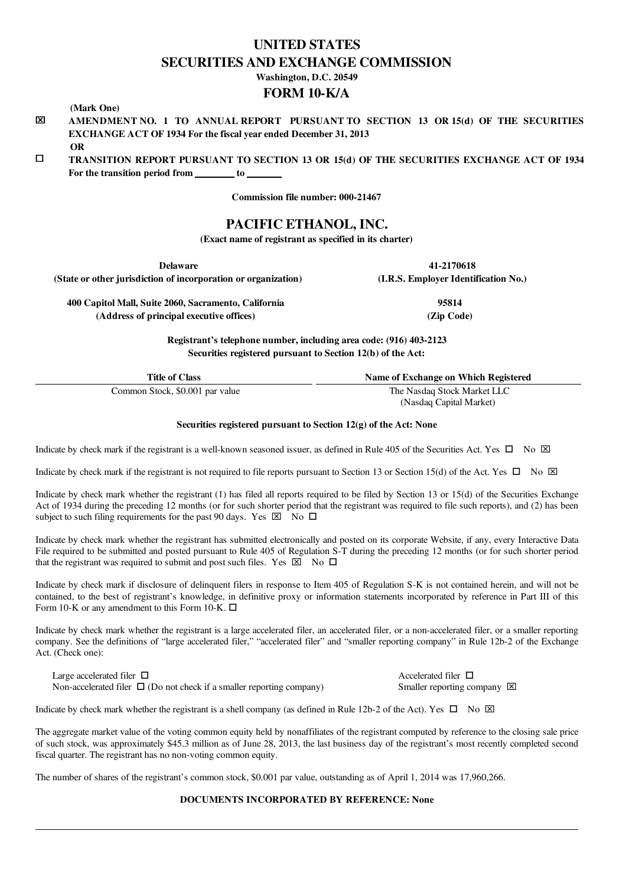# UNITED STATES

# SECURITIES AND EXCHANGE COMMISSION

Washington, D.C. 20549

# FORM 10-K/A

(Mark One)

- x AMENDMENT NO. 1 TO ANNUAL REPORT PURSUANT TO SECTION 13 OR 15(d) OF THE SECURITIES EXCHANGE ACT OF 1934 For the fiscal year ended December 31, 2013 OR
- ¨ TRANSITION REPORT PURSUANT TO SECTION 13 OR 15(d) OF THE SECURITIES EXCHANGE ACT OF 1934 For the transition period from \_\_\_\_\_\_\_\_ to \_\_\_

Commission file number: 000-21467

# PACIFIC ETHANOL, INC.

(Exact name of registrant as specified in its charter)

| <b>Delaware</b>                                                | 41-2170618                           |
|----------------------------------------------------------------|--------------------------------------|
| (State or other jurisdiction of incorporation or organization) | (I.R.S. Employer Identification No.) |
| 400 Capitol Mall, Suite 2060, Sacramento, California           | 95814                                |
| (Address of principal executive offices)                       | (Zip Code)                           |
|                                                                |                                      |

Registrant's telephone number, including area code: (916) 403-2123 Securities registered pursuant to Section 12(b) of the Act:

| <b>Title of Class</b>           | Name of Exchange on Which Registered |  |  |  |  |  |
|---------------------------------|--------------------------------------|--|--|--|--|--|
| Common Stock, \$0.001 par value | The Nasdaq Stock Market LLC          |  |  |  |  |  |
|                                 | (Nasdaq Capital Market)              |  |  |  |  |  |

# Securities registered pursuant to Section 12(g) of the Act: None

Indicate by check mark if the registrant is a well-known seasoned issuer, as defined in Rule 405 of the Securities Act. Yes  $\Box$  No  $\boxtimes$ 

Indicate by check mark if the registrant is not required to file reports pursuant to Section 13 or Section 15(d) of the Act. Yes  $\square$  No  $\square$ 

Indicate by check mark whether the registrant (1) has filed all reports required to be filed by Section 13 or 15(d) of the Securities Exchange Act of 1934 during the preceding 12 months (or for such shorter period that the registrant was required to file such reports), and (2) has been subject to such filing requirements for the past 90 days. Yes  $\boxtimes$  No  $\square$ 

Indicate by check mark whether the registrant has submitted electronically and posted on its corporate Website, if any, every Interactive Data File required to be submitted and posted pursuant to Rule 405 of Regulation S-T during the preceding 12 months (or for such shorter period that the registrant was required to submit and post such files. Yes  $\boxtimes$  No  $\square$ 

Indicate by check mark if disclosure of delinquent filers in response to Item 405 of Regulation S-K is not contained herein, and will not be contained, to the best of registrant's knowledge, in definitive proxy or information statements incorporated by reference in Part III of this Form 10-K or any amendment to this Form 10-K.  $\Box$ 

Indicate by check mark whether the registrant is a large accelerated filer, an accelerated filer, or a non-accelerated filer, or a smaller reporting company. See the definitions of "large accelerated filer," "accelerated filer" and "smaller reporting company" in Rule 12b-2 of the Exchange Act. (Check one):

Large accelerated filer  $\Box$ Non-accelerated filer  $\Box$  (Do not check if a smaller reporting company) Smaller reporting company  $\boxtimes$ 

Indicate by check mark whether the registrant is a shell company (as defined in Rule 12b-2 of the Act). Yes  $\Box$  No  $\boxtimes$ 

The aggregate market value of the voting common equity held by nonaffiliates of the registrant computed by reference to the closing sale price of such stock, was approximately \$45.3 million as of June 28, 2013, the last business day of the registrant's most recently completed second fiscal quarter. The registrant has no non-voting common equity.

The number of shares of the registrant's common stock, \$0.001 par value, outstanding as of April 1, 2014 was 17,960,266.

# DOCUMENTS INCORPORATED BY REFERENCE: None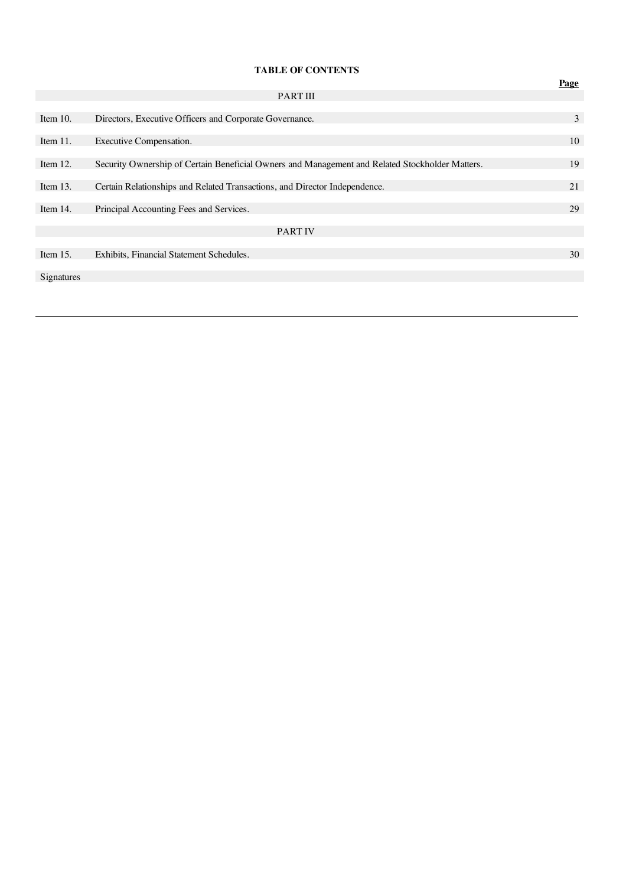# TABLE OF CONTENTS

|             |                                                                                                 | Page |
|-------------|-------------------------------------------------------------------------------------------------|------|
|             | <b>PART III</b>                                                                                 |      |
|             |                                                                                                 |      |
| Item $10$ . | Directors, Executive Officers and Corporate Governance.                                         | 3    |
|             |                                                                                                 |      |
| Item $11$ . | Executive Compensation.                                                                         | 10   |
|             |                                                                                                 |      |
| Item $12$ . | Security Ownership of Certain Beneficial Owners and Management and Related Stockholder Matters. | 19   |
|             |                                                                                                 |      |
| Item $13$ . | Certain Relationships and Related Transactions, and Director Independence.                      | 21   |
|             |                                                                                                 |      |
| Item $14$ . | Principal Accounting Fees and Services.                                                         | 29   |
|             |                                                                                                 |      |
|             | <b>PART IV</b>                                                                                  |      |
|             |                                                                                                 |      |
| Item $15$ . | Exhibits, Financial Statement Schedules.                                                        | 30   |
|             |                                                                                                 |      |
| Signatures  |                                                                                                 |      |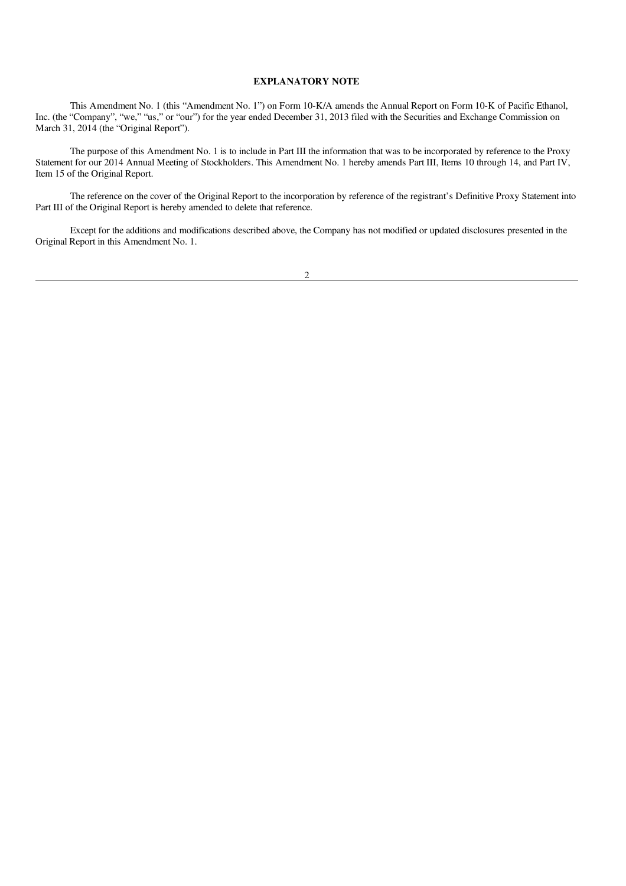# EXPLANATORY NOTE

This Amendment No. 1 (this "Amendment No. 1") on Form 10-K/A amends the Annual Report on Form 10-K of Pacific Ethanol, Inc. (the "Company", "we," "us," or "our") for the year ended December 31, 2013 filed with the Securities and Exchange Commission on March 31, 2014 (the "Original Report").

The purpose of this Amendment No. 1 is to include in Part III the information that was to be incorporated by reference to the Proxy Statement for our 2014 Annual Meeting of Stockholders. This Amendment No. 1 hereby amends Part III, Items 10 through 14, and Part IV, Item 15 of the Original Report.

The reference on the cover of the Original Report to the incorporation by reference of the registrant's Definitive Proxy Statement into Part III of the Original Report is hereby amended to delete that reference.

Except for the additions and modifications described above, the Company has not modified or updated disclosures presented in the Original Report in this Amendment No. 1.

 $\overline{2}$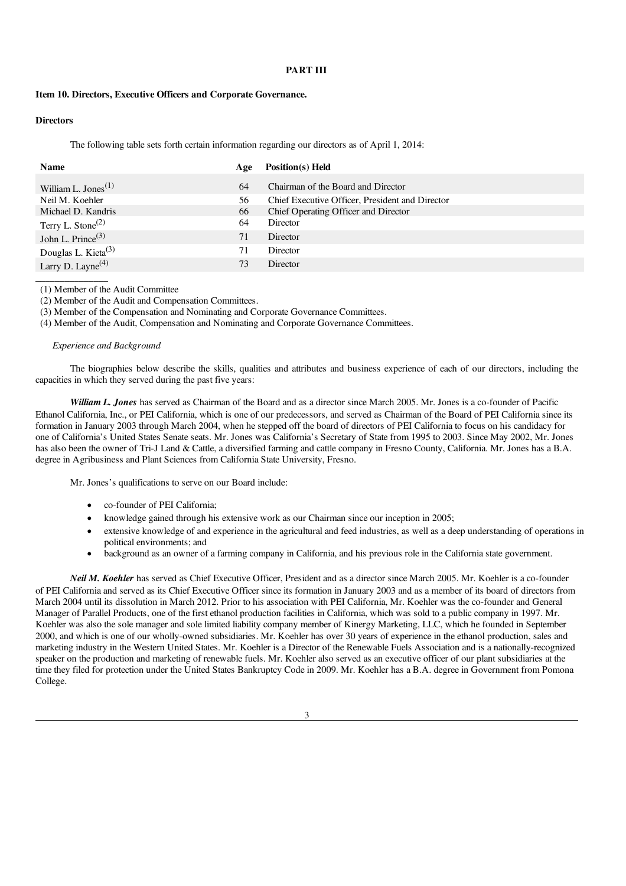# PART III

# Item 10. Directors, Executive Officers and Corporate Governance.

# **Directors**

The following table sets forth certain information regarding our directors as of April 1, 2014:

| <b>Name</b>                                  | Age | <b>Position(s)</b> Held                         |
|----------------------------------------------|-----|-------------------------------------------------|
| William L. Jones <sup><math>(1)</math></sup> | 64  | Chairman of the Board and Director              |
| Neil M. Koehler                              | 56  | Chief Executive Officer, President and Director |
| Michael D. Kandris                           | 66  | Chief Operating Officer and Director            |
| Terry L. Stone <sup><math>(2)</math></sup>   | 64  | Director                                        |
| John L. Prince $(3)$                         | 71  | Director                                        |
| Douglas L. Kieta $(3)$                       | 71  | Director                                        |
| Larry D. Layne <sup><math>(4)</math></sup>   | 73  | Director                                        |

(1) Member of the Audit Committee

\_\_\_\_\_\_\_\_\_\_\_\_\_\_\_

(2) Member of the Audit and Compensation Committees.

(3) Member of the Compensation and Nominating and Corporate Governance Committees.

(4) Member of the Audit, Compensation and Nominating and Corporate Governance Committees.

# *Experience and Background*

The biographies below describe the skills, qualities and attributes and business experience of each of our directors, including the capacities in which they served during the past five years:

*William L. Jones* has served as Chairman of the Board and as a director since March 2005. Mr. Jones is a co-founder of Pacific Ethanol California, Inc., or PEI California, which is one of our predecessors, and served as Chairman of the Board of PEI California since its formation in January 2003 through March 2004, when he stepped off the board of directors of PEI California to focus on his candidacy for one of California's United States Senate seats. Mr. Jones was California's Secretary of State from 1995 to 2003. Since May 2002, Mr. Jones has also been the owner of Tri-J Land & Cattle, a diversified farming and cattle company in Fresno County, California. Mr. Jones has a B.A. degree in Agribusiness and Plant Sciences from California State University, Fresno.

Mr. Jones's qualifications to serve on our Board include:

- · co-founder of PEI California;
- knowledge gained through his extensive work as our Chairman since our inception in 2005;
- extensive knowledge of and experience in the agricultural and feed industries, as well as a deep understanding of operations in political environments; and
- background as an owner of a farming company in California, and his previous role in the California state government.

*Neil M. Koehler* has served as Chief Executive Officer, President and as a director since March 2005. Mr. Koehler is a co-founder of PEI California and served as its Chief Executive Officer since its formation in January 2003 and as a member of its board of directors from March 2004 until its dissolution in March 2012. Prior to his association with PEI California, Mr. Koehler was the co-founder and General Manager of Parallel Products, one of the first ethanol production facilities in California, which was sold to a public company in 1997. Mr. Koehler was also the sole manager and sole limited liability company member of Kinergy Marketing, LLC, which he founded in September 2000, and which is one of our wholly-owned subsidiaries. Mr. Koehler has over 30 years of experience in the ethanol production, sales and marketing industry in the Western United States. Mr. Koehler is a Director of the Renewable Fuels Association and is a nationally-recognized speaker on the production and marketing of renewable fuels. Mr. Koehler also served as an executive officer of our plant subsidiaries at the time they filed for protection under the United States Bankruptcy Code in 2009. Mr. Koehler has a B.A. degree in Government from Pomona College.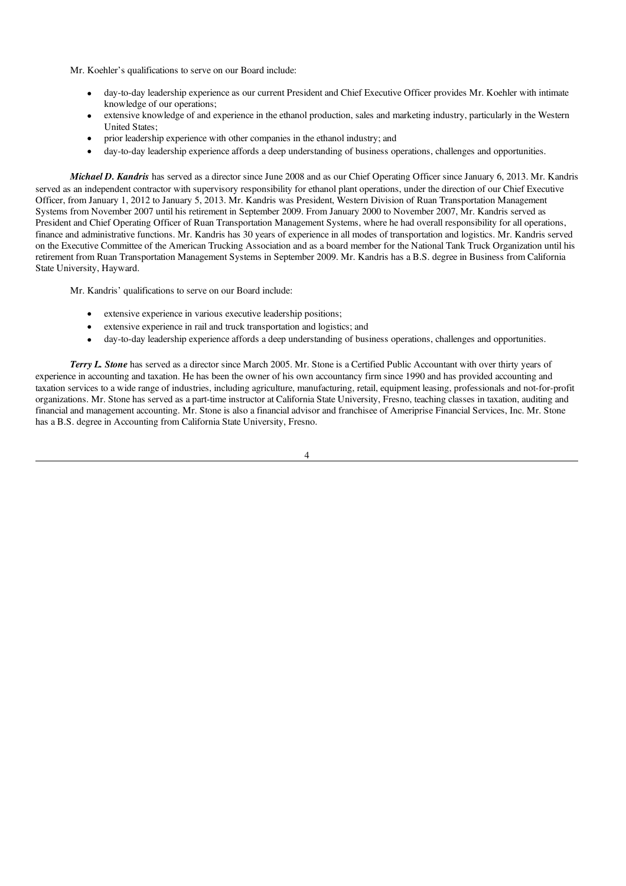Mr. Koehler's qualifications to serve on our Board include:

- · day-to-day leadership experience as our current President and Chief Executive Officer provides Mr. Koehler with intimate knowledge of our operations;
- extensive knowledge of and experience in the ethanol production, sales and marketing industry, particularly in the Western United States;
- prior leadership experience with other companies in the ethanol industry; and
- day-to-day leadership experience affords a deep understanding of business operations, challenges and opportunities.

*Michael D. Kandris* has served as a director since June 2008 and as our Chief Operating Officer since January 6, 2013. Mr. Kandris served as an independent contractor with supervisory responsibility for ethanol plant operations, under the direction of our Chief Executive Officer, from January 1, 2012 to January 5, 2013. Mr. Kandris was President, Western Division of Ruan Transportation Management Systems from November 2007 until his retirement in September 2009. From January 2000 to November 2007, Mr. Kandris served as President and Chief Operating Officer of Ruan Transportation Management Systems, where he had overall responsibility for all operations, finance and administrative functions. Mr. Kandris has 30 years of experience in all modes of transportation and logistics. Mr. Kandris served on the Executive Committee of the American Trucking Association and as a board member for the National Tank Truck Organization until his retirement from Ruan Transportation Management Systems in September 2009. Mr. Kandris has a B.S. degree in Business from California State University, Hayward.

Mr. Kandris' qualifications to serve on our Board include:

- extensive experience in various executive leadership positions;
- · extensive experience in rail and truck transportation and logistics; and
- · day-to-day leadership experience affords a deep understanding of business operations, challenges and opportunities.

*Terry L. Stone* has served as a director since March 2005. Mr. Stone is a Certified Public Accountant with over thirty years of experience in accounting and taxation. He has been the owner of his own accountancy firm since 1990 and has provided accounting and taxation services to a wide range of industries, including agriculture, manufacturing, retail, equipment leasing, professionals and not-for-profit organizations. Mr. Stone has served as a part-time instructor at California State University, Fresno, teaching classes in taxation, auditing and financial and management accounting. Mr. Stone is also a financial advisor and franchisee of Ameriprise Financial Services, Inc. Mr. Stone has a B.S. degree in Accounting from California State University, Fresno.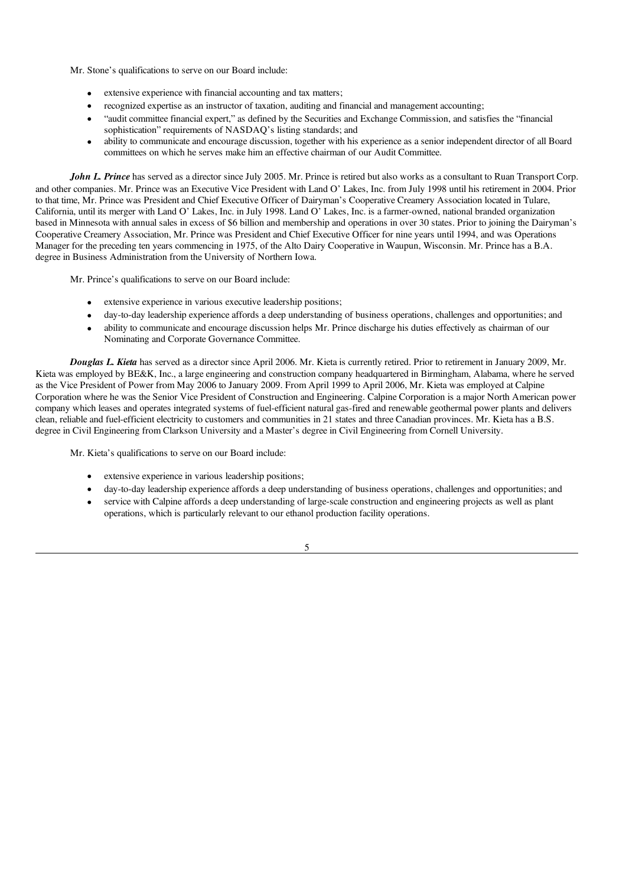Mr. Stone's qualifications to serve on our Board include:

- extensive experience with financial accounting and tax matters;
- recognized expertise as an instructor of taxation, auditing and financial and management accounting;
- · "audit committee financial expert," as defined by the Securities and Exchange Commission, and satisfies the "financial sophistication" requirements of NASDAQ's listing standards; and
- · ability to communicate and encourage discussion, together with his experience as a senior independent director of all Board committees on which he serves make him an effective chairman of our Audit Committee.

*John L. Prince* has served as a director since July 2005. Mr. Prince is retired but also works as a consultant to Ruan Transport Corp. and other companies. Mr. Prince was an Executive Vice President with Land O' Lakes, Inc. from July 1998 until his retirement in 2004. Prior to that time, Mr. Prince was President and Chief Executive Officer of Dairyman's Cooperative Creamery Association located in Tulare, California, until its merger with Land O' Lakes, Inc. in July 1998. Land O' Lakes, Inc. is a farmer-owned, national branded organization based in Minnesota with annual sales in excess of \$6 billion and membership and operations in over 30 states. Prior to joining the Dairyman's Cooperative Creamery Association, Mr. Prince was President and Chief Executive Officer for nine years until 1994, and was Operations Manager for the preceding ten years commencing in 1975, of the Alto Dairy Cooperative in Waupun, Wisconsin. Mr. Prince has a B.A. degree in Business Administration from the University of Northern Iowa.

Mr. Prince's qualifications to serve on our Board include:

- extensive experience in various executive leadership positions;
- · day-to-day leadership experience affords a deep understanding of business operations, challenges and opportunities; and
- · ability to communicate and encourage discussion helps Mr. Prince discharge his duties effectively as chairman of our Nominating and Corporate Governance Committee.

*Douglas L. Kieta* has served as a director since April 2006. Mr. Kieta is currently retired. Prior to retirement in January 2009, Mr. Kieta was employed by BE&K, Inc., a large engineering and construction company headquartered in Birmingham, Alabama, where he served as the Vice President of Power from May 2006 to January 2009. From April 1999 to April 2006, Mr. Kieta was employed at Calpine Corporation where he was the Senior Vice President of Construction and Engineering. Calpine Corporation is a major North American power company which leases and operates integrated systems of fuel-efficient natural gas-fired and renewable geothermal power plants and delivers clean, reliable and fuel-efficient electricity to customers and communities in 21 states and three Canadian provinces. Mr. Kieta has a B.S. degree in Civil Engineering from Clarkson University and a Master's degree in Civil Engineering from Cornell University.

Mr. Kieta's qualifications to serve on our Board include:

- extensive experience in various leadership positions;
- · day-to-day leadership experience affords a deep understanding of business operations, challenges and opportunities; and
- service with Calpine affords a deep understanding of large-scale construction and engineering projects as well as plant operations, which is particularly relevant to our ethanol production facility operations.
	- 5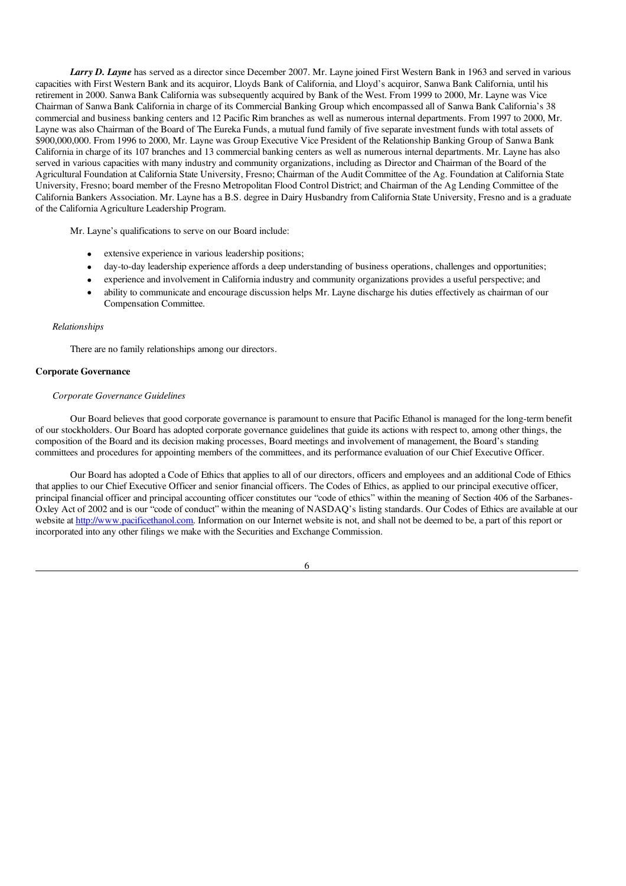*Larry D. Layne* has served as a director since December 2007. Mr. Layne joined First Western Bank in 1963 and served in various capacities with First Western Bank and its acquiror, Lloyds Bank of California, and Lloyd's acquiror, Sanwa Bank California, until his retirement in 2000. Sanwa Bank California was subsequently acquired by Bank of the West. From 1999 to 2000, Mr. Layne was Vice Chairman of Sanwa Bank California in charge of its Commercial Banking Group which encompassed all of Sanwa Bank California's 38 commercial and business banking centers and 12 Pacific Rim branches as well as numerous internal departments. From 1997 to 2000, Mr. Layne was also Chairman of the Board of The Eureka Funds, a mutual fund family of five separate investment funds with total assets of \$900,000,000. From 1996 to 2000, Mr. Layne was Group Executive Vice President of the Relationship Banking Group of Sanwa Bank California in charge of its 107 branches and 13 commercial banking centers as well as numerous internal departments. Mr. Layne has also served in various capacities with many industry and community organizations, including as Director and Chairman of the Board of the Agricultural Foundation at California State University, Fresno; Chairman of the Audit Committee of the Ag. Foundation at California State University, Fresno; board member of the Fresno Metropolitan Flood Control District; and Chairman of the Ag Lending Committee of the California Bankers Association. Mr. Layne has a B.S. degree in Dairy Husbandry from California State University, Fresno and is a graduate of the California Agriculture Leadership Program.

Mr. Layne's qualifications to serve on our Board include:

- extensive experience in various leadership positions;
- day-to-day leadership experience affords a deep understanding of business operations, challenges and opportunities;
- · experience and involvement in California industry and community organizations provides a useful perspective; and
- · ability to communicate and encourage discussion helps Mr. Layne discharge his duties effectively as chairman of our Compensation Committee.

#### *Relationships*

There are no family relationships among our directors.

#### Corporate Governance

# *Corporate Governance Guidelines*

Our Board believes that good corporate governance is paramount to ensure that Pacific Ethanol is managed for the long-term benefit of our stockholders. Our Board has adopted corporate governance guidelines that guide its actions with respect to, among other things, the composition of the Board and its decision making processes, Board meetings and involvement of management, the Board's standing committees and procedures for appointing members of the committees, and its performance evaluation of our Chief Executive Officer.

Our Board has adopted a Code of Ethics that applies to all of our directors, officers and employees and an additional Code of Ethics that applies to our Chief Executive Officer and senior financial officers. The Codes of Ethics, as applied to our principal executive officer, principal financial officer and principal accounting officer constitutes our "code of ethics" within the meaning of Section 406 of the Sarbanes-Oxley Act of 2002 and is our "code of conduct" within the meaning of NASDAQ's listing standards. Our Codes of Ethics are available at our website at http://www.pacificethanol.com. Information on our Internet website is not, and shall not be deemed to be, a part of this report or incorporated into any other filings we make with the Securities and Exchange Commission.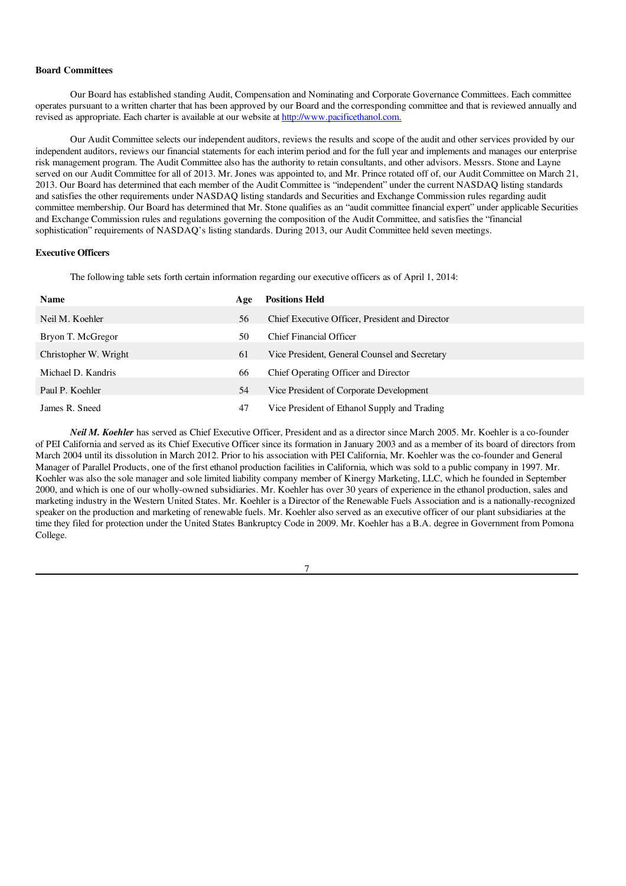### Board Committees

Our Board has established standing Audit, Compensation and Nominating and Corporate Governance Committees. Each committee operates pursuant to a written charter that has been approved by our Board and the corresponding committee and that is reviewed annually and revised as appropriate. Each charter is available at our website at http://www.pacificethanol.com.

Our Audit Committee selects our independent auditors, reviews the results and scope of the audit and other services provided by our independent auditors, reviews our financial statements for each interim period and for the full year and implements and manages our enterprise risk management program. The Audit Committee also has the authority to retain consultants, and other advisors. Messrs. Stone and Layne served on our Audit Committee for all of 2013. Mr. Jones was appointed to, and Mr. Prince rotated off of, our Audit Committee on March 21, 2013. Our Board has determined that each member of the Audit Committee is "independent" under the current NASDAQ listing standards and satisfies the other requirements under NASDAQ listing standards and Securities and Exchange Commission rules regarding audit committee membership. Our Board has determined that Mr. Stone qualifies as an "audit committee financial expert" under applicable Securities and Exchange Commission rules and regulations governing the composition of the Audit Committee, and satisfies the "financial sophistication" requirements of NASDAQ's listing standards. During 2013, our Audit Committee held seven meetings.

# Executive Officers

The following table sets forth certain information regarding our executive officers as of April 1, 2014:

| <b>Name</b>           | Age | <b>Positions Held</b>                           |
|-----------------------|-----|-------------------------------------------------|
| Neil M. Koehler       | 56  | Chief Executive Officer, President and Director |
| Bryon T. McGregor     | 50  | <b>Chief Financial Officer</b>                  |
| Christopher W. Wright | 61  | Vice President, General Counsel and Secretary   |
| Michael D. Kandris    | 66  | Chief Operating Officer and Director            |
| Paul P. Koehler       | 54  | Vice President of Corporate Development         |
| James R. Sneed        | 47  | Vice President of Ethanol Supply and Trading    |

*Neil M. Koehler* has served as Chief Executive Officer, President and as a director since March 2005. Mr. Koehler is a co-founder of PEI California and served as its Chief Executive Officer since its formation in January 2003 and as a member of its board of directors from March 2004 until its dissolution in March 2012. Prior to his association with PEI California, Mr. Koehler was the co-founder and General Manager of Parallel Products, one of the first ethanol production facilities in California, which was sold to a public company in 1997. Mr. Koehler was also the sole manager and sole limited liability company member of Kinergy Marketing, LLC, which he founded in September 2000, and which is one of our wholly-owned subsidiaries. Mr. Koehler has over 30 years of experience in the ethanol production, sales and marketing industry in the Western United States. Mr. Koehler is a Director of the Renewable Fuels Association and is a nationally-recognized speaker on the production and marketing of renewable fuels. Mr. Koehler also served as an executive officer of our plant subsidiaries at the time they filed for protection under the United States Bankruptcy Code in 2009. Mr. Koehler has a B.A. degree in Government from Pomona College.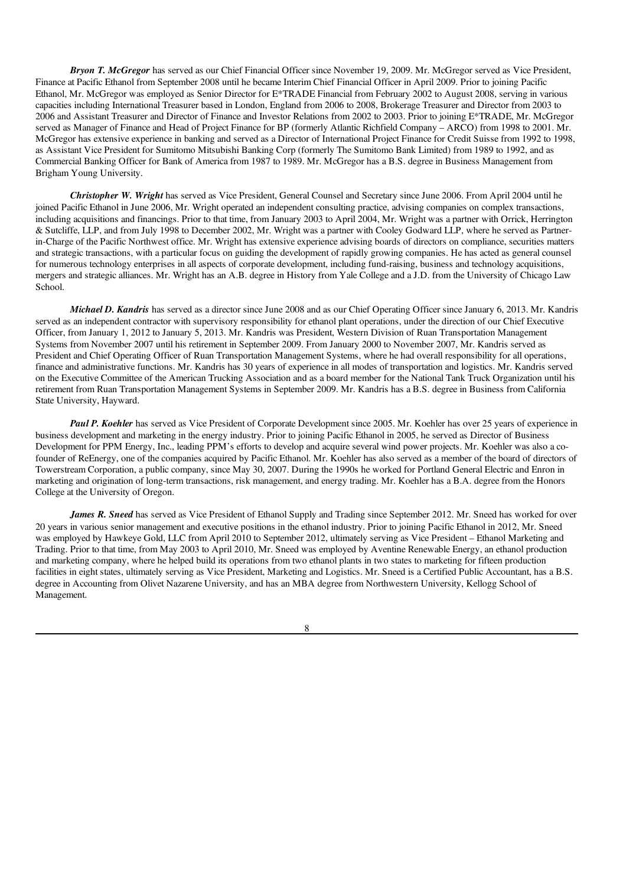*Bryon T. McGregor* has served as our Chief Financial Officer since November 19, 2009. Mr. McGregor served as Vice President, Finance at Pacific Ethanol from September 2008 until he became Interim Chief Financial Officer in April 2009. Prior to joining Pacific Ethanol, Mr. McGregor was employed as Senior Director for E\*TRADE Financial from February 2002 to August 2008, serving in various capacities including International Treasurer based in London, England from 2006 to 2008, Brokerage Treasurer and Director from 2003 to 2006 and Assistant Treasurer and Director of Finance and Investor Relations from 2002 to 2003. Prior to joining E\*TRADE, Mr. McGregor served as Manager of Finance and Head of Project Finance for BP (formerly Atlantic Richfield Company – ARCO) from 1998 to 2001. Mr. McGregor has extensive experience in banking and served as a Director of International Project Finance for Credit Suisse from 1992 to 1998, as Assistant Vice President for Sumitomo Mitsubishi Banking Corp (formerly The Sumitomo Bank Limited) from 1989 to 1992, and as Commercial Banking Officer for Bank of America from 1987 to 1989. Mr. McGregor has a B.S. degree in Business Management from Brigham Young University.

*Christopher W. Wright* has served as Vice President, General Counsel and Secretary since June 2006. From April 2004 until he joined Pacific Ethanol in June 2006, Mr. Wright operated an independent consulting practice, advising companies on complex transactions, including acquisitions and financings. Prior to that time, from January 2003 to April 2004, Mr. Wright was a partner with Orrick, Herrington & Sutcliffe, LLP, and from July 1998 to December 2002, Mr. Wright was a partner with Cooley Godward LLP, where he served as Partnerin-Charge of the Pacific Northwest office. Mr. Wright has extensive experience advising boards of directors on compliance, securities matters and strategic transactions, with a particular focus on guiding the development of rapidly growing companies. He has acted as general counsel for numerous technology enterprises in all aspects of corporate development, including fund-raising, business and technology acquisitions, mergers and strategic alliances. Mr. Wright has an A.B. degree in History from Yale College and a J.D. from the University of Chicago Law School.

*Michael D. Kandris* has served as a director since June 2008 and as our Chief Operating Officer since January 6, 2013. Mr. Kandris served as an independent contractor with supervisory responsibility for ethanol plant operations, under the direction of our Chief Executive Officer, from January 1, 2012 to January 5, 2013. Mr. Kandris was President, Western Division of Ruan Transportation Management Systems from November 2007 until his retirement in September 2009. From January 2000 to November 2007, Mr. Kandris served as President and Chief Operating Officer of Ruan Transportation Management Systems, where he had overall responsibility for all operations, finance and administrative functions. Mr. Kandris has 30 years of experience in all modes of transportation and logistics. Mr. Kandris served on the Executive Committee of the American Trucking Association and as a board member for the National Tank Truck Organization until his retirement from Ruan Transportation Management Systems in September 2009. Mr. Kandris has a B.S. degree in Business from California State University, Hayward.

*Paul P. Koehler* has served as Vice President of Corporate Development since 2005. Mr. Koehler has over 25 years of experience in business development and marketing in the energy industry. Prior to joining Pacific Ethanol in 2005, he served as Director of Business Development for PPM Energy, Inc., leading PPM's efforts to develop and acquire several wind power projects. Mr. Koehler was also a cofounder of ReEnergy, one of the companies acquired by Pacific Ethanol. Mr. Koehler has also served as a member of the board of directors of Towerstream Corporation, a public company, since May 30, 2007. During the 1990s he worked for Portland General Electric and Enron in marketing and origination of long-term transactions, risk management, and energy trading. Mr. Koehler has a B.A. degree from the Honors College at the University of Oregon.

*James R. Sneed* has served as Vice President of Ethanol Supply and Trading since September 2012. Mr. Sneed has worked for over 20 years in various senior management and executive positions in the ethanol industry. Prior to joining Pacific Ethanol in 2012, Mr. Sneed was employed by Hawkeye Gold, LLC from April 2010 to September 2012, ultimately serving as Vice President – Ethanol Marketing and Trading. Prior to that time, from May 2003 to April 2010, Mr. Sneed was employed by Aventine Renewable Energy, an ethanol production and marketing company, where he helped build its operations from two ethanol plants in two states to marketing for fifteen production facilities in eight states, ultimately serving as Vice President, Marketing and Logistics. Mr. Sneed is a Certified Public Accountant, has a B.S. degree in Accounting from Olivet Nazarene University, and has an MBA degree from Northwestern University, Kellogg School of Management.

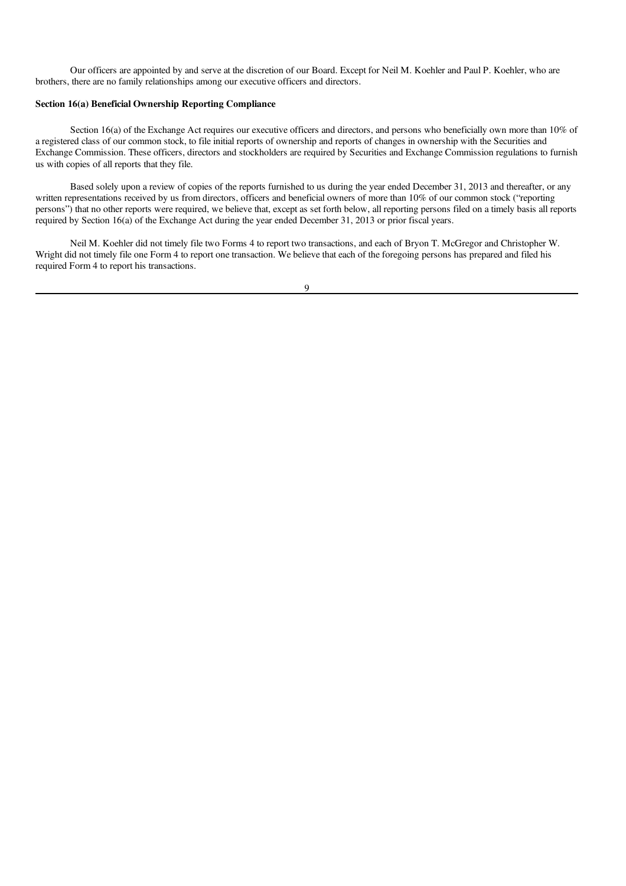Our officers are appointed by and serve at the discretion of our Board. Except for Neil M. Koehler and Paul P. Koehler, who are brothers, there are no family relationships among our executive officers and directors.

# Section 16(a) Beneficial Ownership Reporting Compliance

Section 16(a) of the Exchange Act requires our executive officers and directors, and persons who beneficially own more than 10% of a registered class of our common stock, to file initial reports of ownership and reports of changes in ownership with the Securities and Exchange Commission. These officers, directors and stockholders are required by Securities and Exchange Commission regulations to furnish us with copies of all reports that they file.

Based solely upon a review of copies of the reports furnished to us during the year ended December 31, 2013 and thereafter, or any written representations received by us from directors, officers and beneficial owners of more than 10% of our common stock ("reporting persons") that no other reports were required, we believe that, except as set forth below, all reporting persons filed on a timely basis all reports required by Section 16(a) of the Exchange Act during the year ended December 31, 2013 or prior fiscal years.

Neil M. Koehler did not timely file two Forms 4 to report two transactions, and each of Bryon T. McGregor and Christopher W. Wright did not timely file one Form 4 to report one transaction. We believe that each of the foregoing persons has prepared and filed his required Form 4 to report his transactions.

 $\overline{Q}$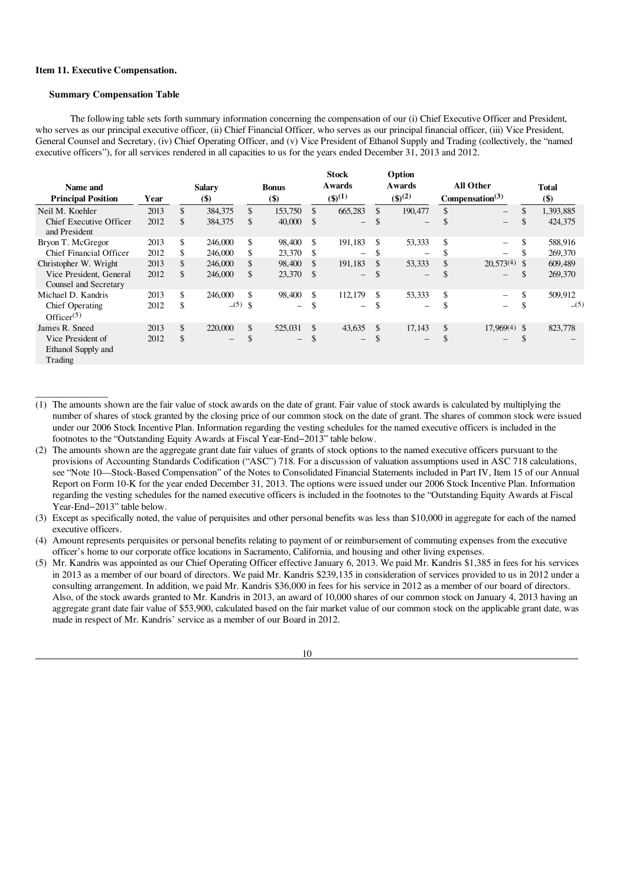# Item 11. Executive Compensation.

\_\_\_\_\_\_\_\_\_\_\_\_\_\_\_

# Summary Compensation Table

The following table sets forth summary information concerning the compensation of our (i) Chief Executive Officer and President, who serves as our principal executive officer, (ii) Chief Financial Officer, who serves as our principal financial officer, (iii) Vice President, General Counsel and Secretary, (iv) Chief Operating Officer, and (v) Vice President of Ethanol Supply and Trading (collectively, the "named executive officers"), for all services rendered in all capacities to us for the years ended December 31, 2013 and 2012.

| Name and<br><b>Principal Position</b>                                               | Year                 |               | <b>Salary</b><br>$($ \$)            |                                | <b>Bonus</b><br>\$)        |                | <b>Stock</b><br>Awards<br>$({\bf 1})^{(1)}$    |                  | Option<br>Awards<br>$({\bf 5})^{(2)}$ |          | <b>All Other</b><br>Compensation $(3)$         |           | <b>Total</b><br>$($ \$)       |
|-------------------------------------------------------------------------------------|----------------------|---------------|-------------------------------------|--------------------------------|----------------------------|----------------|------------------------------------------------|------------------|---------------------------------------|----------|------------------------------------------------|-----------|-------------------------------|
| Neil M. Koehler<br>Chief Executive Officer<br>and President                         | 2013<br>2012         | \$<br>\$      | 384,375<br>384,375                  | \$<br>\$.                      | 153,750<br>40,000          | \$<br>\$       | 665,283<br>$\hspace{0.1mm}-\hspace{0.1mm}$     | \$               | 190,477<br>—                          | \$<br>\$ | $\qquad \qquad -$<br>$\qquad \qquad -$         | \$<br>\$  | 1,393,885<br>424,375          |
| Bryon T. McGregor<br>Chief Financial Officer<br>Christopher W. Wright               | 2013<br>2012<br>2013 | \$<br>S<br>\$ | 246,000<br>246,000<br>246,000       | \$<br>S<br>\$.                 | 98,400<br>23,370<br>98,400 | \$<br>\$<br>\$ | 191,183<br>$\overline{\phantom{m}}$<br>191,183 | \$.<br>J.<br>\$. | 53,333<br>-<br>53,333                 | \$<br>\$ | -<br>-<br>$20,573(4)$ \$                       | \$        | 588,916<br>269,370<br>609,489 |
| Vice President, General<br>Counsel and Secretary                                    | 2012                 | \$            | 246,000                             | \$.                            | 23,370                     | \$             | $\qquad \qquad \blacksquare$                   | \$.              | —                                     | \$       | $\overline{\phantom{0}}$                       | \$        | 269,370                       |
| Michael D. Kandris<br><b>Chief Operating</b><br>Officer <sup><math>(5)</math></sup> | 2013<br>2012         | \$<br>\$      | 246,000<br>(5)                      | $\mathcal{S}$<br><sup>\$</sup> | 98,400<br>-                | \$<br>S        | 112,179<br>$\overline{\phantom{m}}$            | \$.<br>ъ         | 53,333<br>-                           | \$<br>S  | -<br>-                                         | \$<br>\$. | 509,912<br>$\Box(5)$          |
| James R. Sneed<br>Vice President of<br>Ethanol Supply and<br>Trading                | 2013<br>2012         | \$<br>\$      | 220,000<br>$\overline{\phantom{0}}$ | \$<br>Ъ                        | 525,031<br>-               | \$<br>\$       | 43,635<br>$\hspace{0.1mm}-\hspace{0.1mm}$      | \$.              | 17,143<br>-                           | \$<br>\$ | $17,969(4)$ \$<br>$\qquad \qquad \blacksquare$ | J.        | 823,778                       |

- (1) The amounts shown are the fair value of stock awards on the date of grant. Fair value of stock awards is calculated by multiplying the number of shares of stock granted by the closing price of our common stock on the date of grant. The shares of common stock were issued under our 2006 Stock Incentive Plan. Information regarding the vesting schedules for the named executive officers is included in the footnotes to the "Outstanding Equity Awards at Fiscal Year-End−2013" table below.
- (2) The amounts shown are the aggregate grant date fair values of grants of stock options to the named executive officers pursuant to the provisions of Accounting Standards Codification ("ASC") 718. For a discussion of valuation assumptions used in ASC 718 calculations, see "Note 10—Stock-Based Compensation" of the Notes to Consolidated Financial Statements included in Part IV, Item 15 of our Annual Report on Form 10-K for the year ended December 31, 2013. The options were issued under our 2006 Stock Incentive Plan. Information regarding the vesting schedules for the named executive officers is included in the footnotes to the "Outstanding Equity Awards at Fiscal Year-End−2013" table below.

(3) Except as specifically noted, the value of perquisites and other personal benefits was less than \$10,000 in aggregate for each of the named executive officers.

(5) Mr. Kandris was appointed as our Chief Operating Officer effective January 6, 2013. We paid Mr. Kandris \$1,385 in fees for his services in 2013 as a member of our board of directors. We paid Mr. Kandris \$239,135 in consideration of services provided to us in 2012 under a consulting arrangement. In addition, we paid Mr. Kandris \$36,000 in fees for his service in 2012 as a member of our board of directors. Also, of the stock awards granted to Mr. Kandris in 2013, an award of 10,000 shares of our common stock on January 4, 2013 having an aggregate grant date fair value of \$53,900, calculated based on the fair market value of our common stock on the applicable grant date, was made in respect of Mr. Kandris' service as a member of our Board in 2012.

<sup>(4)</sup> Amount represents perquisites or personal benefits relating to payment of or reimbursement of commuting expenses from the executive officer's home to our corporate office locations in Sacramento, California, and housing and other living expenses.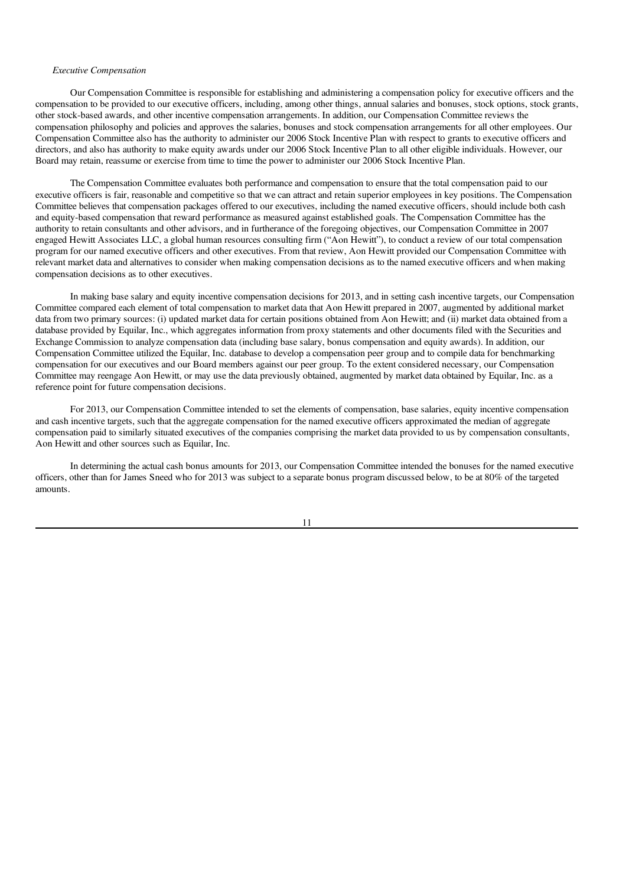#### *Executive Compensation*

Our Compensation Committee is responsible for establishing and administering a compensation policy for executive officers and the compensation to be provided to our executive officers, including, among other things, annual salaries and bonuses, stock options, stock grants, other stock-based awards, and other incentive compensation arrangements. In addition, our Compensation Committee reviews the compensation philosophy and policies and approves the salaries, bonuses and stock compensation arrangements for all other employees. Our Compensation Committee also has the authority to administer our 2006 Stock Incentive Plan with respect to grants to executive officers and directors, and also has authority to make equity awards under our 2006 Stock Incentive Plan to all other eligible individuals. However, our Board may retain, reassume or exercise from time to time the power to administer our 2006 Stock Incentive Plan.

The Compensation Committee evaluates both performance and compensation to ensure that the total compensation paid to our executive officers is fair, reasonable and competitive so that we can attract and retain superior employees in key positions. The Compensation Committee believes that compensation packages offered to our executives, including the named executive officers, should include both cash and equity-based compensation that reward performance as measured against established goals. The Compensation Committee has the authority to retain consultants and other advisors, and in furtherance of the foregoing objectives, our Compensation Committee in 2007 engaged Hewitt Associates LLC, a global human resources consulting firm ("Aon Hewitt"), to conduct a review of our total compensation program for our named executive officers and other executives. From that review, Aon Hewitt provided our Compensation Committee with relevant market data and alternatives to consider when making compensation decisions as to the named executive officers and when making compensation decisions as to other executives.

In making base salary and equity incentive compensation decisions for 2013, and in setting cash incentive targets, our Compensation Committee compared each element of total compensation to market data that Aon Hewitt prepared in 2007, augmented by additional market data from two primary sources: (i) updated market data for certain positions obtained from Aon Hewitt; and (ii) market data obtained from a database provided by Equilar, Inc., which aggregates information from proxy statements and other documents filed with the Securities and Exchange Commission to analyze compensation data (including base salary, bonus compensation and equity awards). In addition, our Compensation Committee utilized the Equilar, Inc. database to develop a compensation peer group and to compile data for benchmarking compensation for our executives and our Board members against our peer group. To the extent considered necessary, our Compensation Committee may reengage Aon Hewitt, or may use the data previously obtained, augmented by market data obtained by Equilar, Inc. as a reference point for future compensation decisions.

For 2013, our Compensation Committee intended to set the elements of compensation, base salaries, equity incentive compensation and cash incentive targets, such that the aggregate compensation for the named executive officers approximated the median of aggregate compensation paid to similarly situated executives of the companies comprising the market data provided to us by compensation consultants, Aon Hewitt and other sources such as Equilar, Inc.

In determining the actual cash bonus amounts for 2013, our Compensation Committee intended the bonuses for the named executive officers, other than for James Sneed who for 2013 was subject to a separate bonus program discussed below, to be at 80% of the targeted amounts.

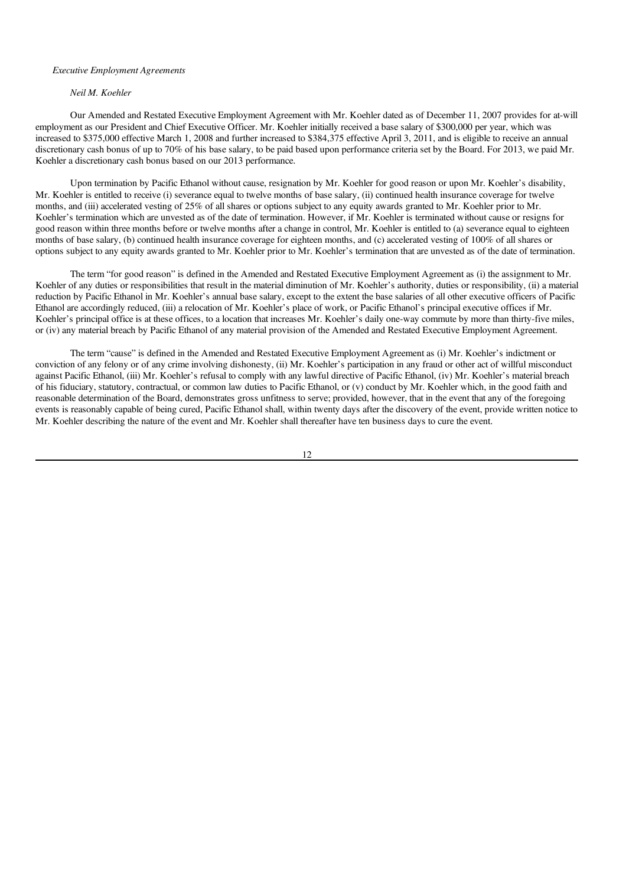#### *Executive Employment Agreements*

### *Neil M. Koehler*

Our Amended and Restated Executive Employment Agreement with Mr. Koehler dated as of December 11, 2007 provides for at-will employment as our President and Chief Executive Officer. Mr. Koehler initially received a base salary of \$300,000 per year, which was increased to \$375,000 effective March 1, 2008 and further increased to \$384,375 effective April 3, 2011, and is eligible to receive an annual discretionary cash bonus of up to 70% of his base salary, to be paid based upon performance criteria set by the Board. For 2013, we paid Mr. Koehler a discretionary cash bonus based on our 2013 performance.

Upon termination by Pacific Ethanol without cause, resignation by Mr. Koehler for good reason or upon Mr. Koehler's disability, Mr. Koehler is entitled to receive (i) severance equal to twelve months of base salary, (ii) continued health insurance coverage for twelve months, and (iii) accelerated vesting of 25% of all shares or options subject to any equity awards granted to Mr. Koehler prior to Mr. Koehler's termination which are unvested as of the date of termination. However, if Mr. Koehler is terminated without cause or resigns for good reason within three months before or twelve months after a change in control, Mr. Koehler is entitled to (a) severance equal to eighteen months of base salary, (b) continued health insurance coverage for eighteen months, and (c) accelerated vesting of 100% of all shares or options subject to any equity awards granted to Mr. Koehler prior to Mr. Koehler's termination that are unvested as of the date of termination.

The term "for good reason" is defined in the Amended and Restated Executive Employment Agreement as (i) the assignment to Mr. Koehler of any duties or responsibilities that result in the material diminution of Mr. Koehler's authority, duties or responsibility, (ii) a material reduction by Pacific Ethanol in Mr. Koehler's annual base salary, except to the extent the base salaries of all other executive officers of Pacific Ethanol are accordingly reduced, (iii) a relocation of Mr. Koehler's place of work, or Pacific Ethanol's principal executive offices if Mr. Koehler's principal office is at these offices, to a location that increases Mr. Koehler's daily one-way commute by more than thirty-five miles, or (iv) any material breach by Pacific Ethanol of any material provision of the Amended and Restated Executive Employment Agreement.

The term "cause" is defined in the Amended and Restated Executive Employment Agreement as (i) Mr. Koehler's indictment or conviction of any felony or of any crime involving dishonesty, (ii) Mr. Koehler's participation in any fraud or other act of willful misconduct against Pacific Ethanol, (iii) Mr. Koehler's refusal to comply with any lawful directive of Pacific Ethanol, (iv) Mr. Koehler's material breach of his fiduciary, statutory, contractual, or common law duties to Pacific Ethanol, or (v) conduct by Mr. Koehler which, in the good faith and reasonable determination of the Board, demonstrates gross unfitness to serve; provided, however, that in the event that any of the foregoing events is reasonably capable of being cured, Pacific Ethanol shall, within twenty days after the discovery of the event, provide written notice to Mr. Koehler describing the nature of the event and Mr. Koehler shall thereafter have ten business days to cure the event.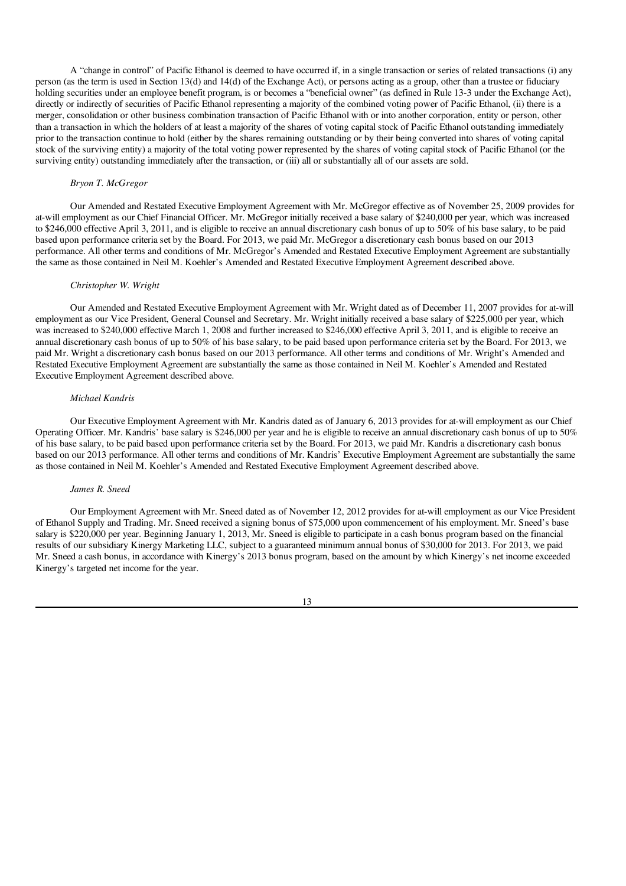A "change in control" of Pacific Ethanol is deemed to have occurred if, in a single transaction or series of related transactions (i) any person (as the term is used in Section 13(d) and 14(d) of the Exchange Act), or persons acting as a group, other than a trustee or fiduciary holding securities under an employee benefit program, is or becomes a "beneficial owner" (as defined in Rule 13-3 under the Exchange Act), directly or indirectly of securities of Pacific Ethanol representing a majority of the combined voting power of Pacific Ethanol, (ii) there is a merger, consolidation or other business combination transaction of Pacific Ethanol with or into another corporation, entity or person, other than a transaction in which the holders of at least a majority of the shares of voting capital stock of Pacific Ethanol outstanding immediately prior to the transaction continue to hold (either by the shares remaining outstanding or by their being converted into shares of voting capital stock of the surviving entity) a majority of the total voting power represented by the shares of voting capital stock of Pacific Ethanol (or the surviving entity) outstanding immediately after the transaction, or (iii) all or substantially all of our assets are sold.

#### *Bryon T. McGregor*

Our Amended and Restated Executive Employment Agreement with Mr. McGregor effective as of November 25, 2009 provides for at-will employment as our Chief Financial Officer. Mr. McGregor initially received a base salary of \$240,000 per year, which was increased to \$246,000 effective April 3, 2011, and is eligible to receive an annual discretionary cash bonus of up to 50% of his base salary, to be paid based upon performance criteria set by the Board. For 2013, we paid Mr. McGregor a discretionary cash bonus based on our 2013 performance. All other terms and conditions of Mr. McGregor's Amended and Restated Executive Employment Agreement are substantially the same as those contained in Neil M. Koehler's Amended and Restated Executive Employment Agreement described above.

### *Christopher W. Wright*

Our Amended and Restated Executive Employment Agreement with Mr. Wright dated as of December 11, 2007 provides for at-will employment as our Vice President, General Counsel and Secretary. Mr. Wright initially received a base salary of \$225,000 per year, which was increased to \$240,000 effective March 1, 2008 and further increased to \$246,000 effective April 3, 2011, and is eligible to receive an annual discretionary cash bonus of up to 50% of his base salary, to be paid based upon performance criteria set by the Board. For 2013, we paid Mr. Wright a discretionary cash bonus based on our 2013 performance. All other terms and conditions of Mr. Wright's Amended and Restated Executive Employment Agreement are substantially the same as those contained in Neil M. Koehler's Amended and Restated Executive Employment Agreement described above.

### *Michael Kandris*

Our Executive Employment Agreement with Mr. Kandris dated as of January 6, 2013 provides for at-will employment as our Chief Operating Officer. Mr. Kandris' base salary is \$246,000 per year and he is eligible to receive an annual discretionary cash bonus of up to 50% of his base salary, to be paid based upon performance criteria set by the Board. For 2013, we paid Mr. Kandris a discretionary cash bonus based on our 2013 performance. All other terms and conditions of Mr. Kandris' Executive Employment Agreement are substantially the same as those contained in Neil M. Koehler's Amended and Restated Executive Employment Agreement described above.

# *James R. Sneed*

Our Employment Agreement with Mr. Sneed dated as of November 12, 2012 provides for at-will employment as our Vice President of Ethanol Supply and Trading. Mr. Sneed received a signing bonus of \$75,000 upon commencement of his employment. Mr. Sneed's base salary is \$220,000 per year. Beginning January 1, 2013, Mr. Sneed is eligible to participate in a cash bonus program based on the financial results of our subsidiary Kinergy Marketing LLC, subject to a guaranteed minimum annual bonus of \$30,000 for 2013. For 2013, we paid Mr. Sneed a cash bonus, in accordance with Kinergy's 2013 bonus program, based on the amount by which Kinergy's net income exceeded Kinergy's targeted net income for the year.

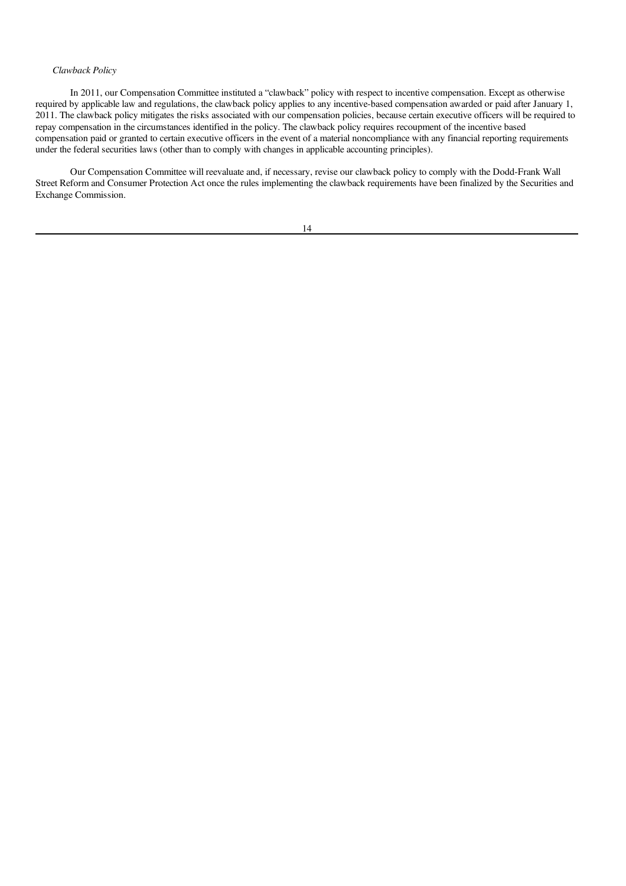# *Clawback Policy*

In 2011, our Compensation Committee instituted a "clawback" policy with respect to incentive compensation. Except as otherwise required by applicable law and regulations, the clawback policy applies to any incentive-based compensation awarded or paid after January 1, 2011. The clawback policy mitigates the risks associated with our compensation policies, because certain executive officers will be required to repay compensation in the circumstances identified in the policy. The clawback policy requires recoupment of the incentive based compensation paid or granted to certain executive officers in the event of a material noncompliance with any financial reporting requirements under the federal securities laws (other than to comply with changes in applicable accounting principles).

Our Compensation Committee will reevaluate and, if necessary, revise our clawback policy to comply with the Dodd-Frank Wall Street Reform and Consumer Protection Act once the rules implementing the clawback requirements have been finalized by the Securities and Exchange Commission.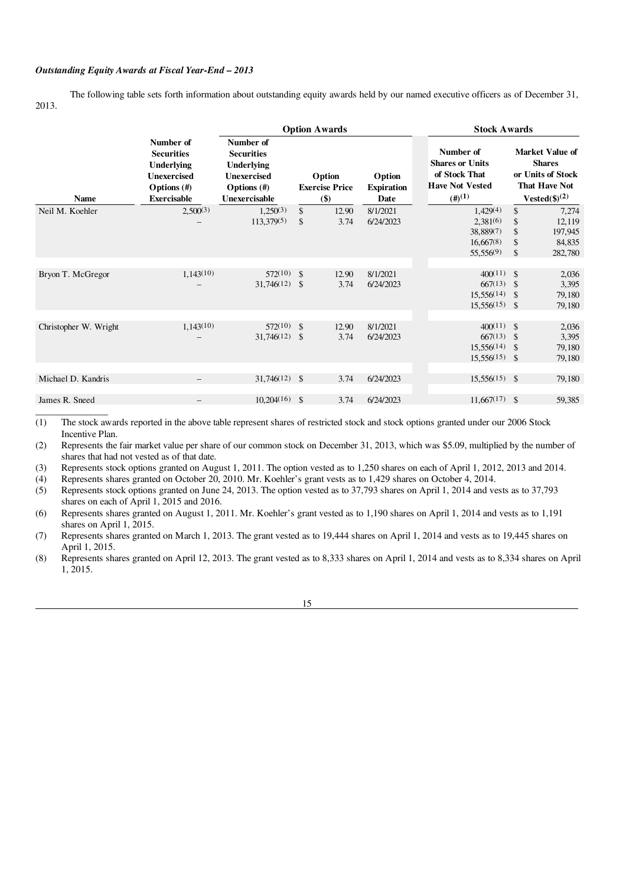# *Outstanding Equity Awards at Fiscal Year-End – 2013*

The following table sets forth information about outstanding equity awards held by our named executive officers as of December 31, 2013.

|                                      |                                                                                                     |                                                                                                              | <b>Option Awards</b> | <b>Stock Awards</b>                                                           |                        |                                                                                                |                                        |                                                                                                      |
|--------------------------------------|-----------------------------------------------------------------------------------------------------|--------------------------------------------------------------------------------------------------------------|----------------------|-------------------------------------------------------------------------------|------------------------|------------------------------------------------------------------------------------------------|----------------------------------------|------------------------------------------------------------------------------------------------------|
| <b>Name</b>                          | Number of<br><b>Securities</b><br>Underlying<br>Unexercised<br>Options $(\#)$<br><b>Exercisable</b> | Number of<br><b>Securities</b><br>Underlying<br><b>Unexercised</b><br>Options $(\#)$<br><b>Unexercisable</b> |                      | Option<br>Option<br><b>Exercise Price</b><br><b>Expiration</b><br>\$)<br>Date |                        | Number of<br><b>Shares or Units</b><br>of Stock That<br><b>Have Not Vested</b><br>$(\#)^{(1)}$ |                                        | <b>Market Value of</b><br><b>Shares</b><br>or Units of Stock<br>That Have Not<br>Vested $(\$)^{(2)}$ |
| Neil M. Koehler                      | 2,500(3)                                                                                            | 1,250(3)<br>113,379(5)                                                                                       | \$<br>\$             | 12.90<br>3.74                                                                 | 8/1/2021<br>6/24/2023  | 1,429(4)<br>2,381(6)<br>38,889(7)<br>16,667(8)<br>55,556(9)                                    | \$<br>\$<br>$\mathcal{S}$<br>\$<br>\$. | 7,274<br>12,119<br>197,945<br>84,835<br>282,780                                                      |
| Bryon T. McGregor                    | 1,143(10)                                                                                           | $572(10)$ \$<br>31,746(12)                                                                                   | $\mathcal{S}$        | 12.90<br>3.74                                                                 | 8/1/2021<br>6/24/2023  | $400(11)$ \$<br>667(13)<br>15,556(14)<br>$15.556(15)$ \$                                       | - \$<br>$\mathcal{S}$                  | 2,036<br>3,395<br>79,180<br>79,180                                                                   |
| Christopher W. Wright                | 1,143(10)                                                                                           | $572^{(10)}$ \$<br>$31,746(12)$ \$                                                                           |                      | 12.90<br>3.74                                                                 | 8/1/2021<br>6/24/2023  | $400^{(11)}$ \$<br>667(13)<br>15,556(14)<br>15,556(15)                                         | - \$<br><sup>\$</sup><br>- \$          | 2,036<br>3,395<br>79,180<br>79,180                                                                   |
| Michael D. Kandris<br>James R. Sneed |                                                                                                     | $31,746(12)$ \$<br>$10,204(16)$ \$                                                                           |                      | 3.74<br>3.74                                                                  | 6/24/2023<br>6/24/2023 | $15,556(15)$ \$<br>$11,667(17)$ \$                                                             |                                        | 79,180<br>59,385                                                                                     |
|                                      |                                                                                                     |                                                                                                              |                      |                                                                               |                        |                                                                                                |                                        |                                                                                                      |

(1) The stock awards reported in the above table represent shares of restricted stock and stock options granted under our 2006 Stock Incentive Plan.

(2) Represents the fair market value per share of our common stock on December 31, 2013, which was \$5.09, multiplied by the number of shares that had not vested as of that date.

(3) Represents stock options granted on August 1, 2011. The option vested as to 1,250 shares on each of April 1, 2012, 2013 and 2014.

(4) Represents shares granted on October 20, 2010. Mr. Koehler's grant vests as to 1,429 shares on October 4, 2014.

(5) Represents stock options granted on June 24, 2013. The option vested as to 37,793 shares on April 1, 2014 and vests as to 37,793 shares on each of April 1, 2015 and 2016.

(6) Represents shares granted on August 1, 2011. Mr. Koehler's grant vested as to 1,190 shares on April 1, 2014 and vests as to 1,191 shares on April 1, 2015.

(7) Represents shares granted on March 1, 2013. The grant vested as to 19,444 shares on April 1, 2014 and vests as to 19,445 shares on April 1, 2015.

(8) Represents shares granted on April 12, 2013. The grant vested as to 8,333 shares on April 1, 2014 and vests as to 8,334 shares on April 1, 2015.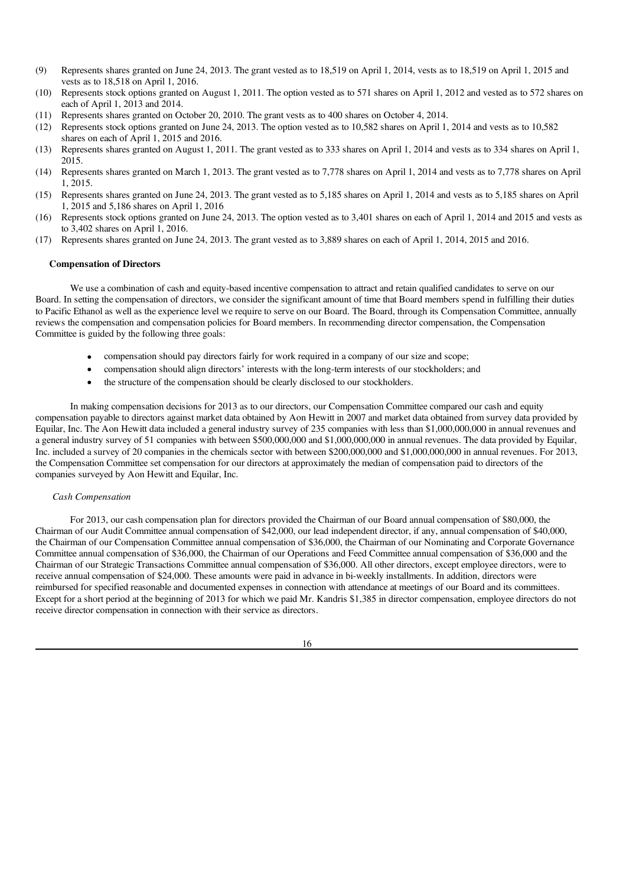- (9) Represents shares granted on June 24, 2013. The grant vested as to 18,519 on April 1, 2014, vests as to 18,519 on April 1, 2015 and vests as to 18,518 on April 1, 2016.
- (10) Represents stock options granted on August 1, 2011. The option vested as to 571 shares on April 1, 2012 and vested as to 572 shares on each of April 1, 2013 and 2014.
- (11) Represents shares granted on October 20, 2010. The grant vests as to 400 shares on October 4, 2014.
- (12) Represents stock options granted on June 24, 2013. The option vested as to 10,582 shares on April 1, 2014 and vests as to 10,582 shares on each of April 1, 2015 and 2016.
- (13) Represents shares granted on August 1, 2011. The grant vested as to 333 shares on April 1, 2014 and vests as to 334 shares on April 1, 2015.
- (14) Represents shares granted on March 1, 2013. The grant vested as to 7,778 shares on April 1, 2014 and vests as to 7,778 shares on April 1, 2015.
- (15) Represents shares granted on June 24, 2013. The grant vested as to 5,185 shares on April 1, 2014 and vests as to 5,185 shares on April 1, 2015 and 5,186 shares on April 1, 2016
- (16) Represents stock options granted on June 24, 2013. The option vested as to 3,401 shares on each of April 1, 2014 and 2015 and vests as to 3,402 shares on April 1, 2016.
- (17) Represents shares granted on June 24, 2013. The grant vested as to 3,889 shares on each of April 1, 2014, 2015 and 2016.

# Compensation of Directors

We use a combination of cash and equity-based incentive compensation to attract and retain qualified candidates to serve on our Board. In setting the compensation of directors, we consider the significant amount of time that Board members spend in fulfilling their duties to Pacific Ethanol as well as the experience level we require to serve on our Board. The Board, through its Compensation Committee, annually reviews the compensation and compensation policies for Board members. In recommending director compensation, the Compensation Committee is guided by the following three goals:

- · compensation should pay directors fairly for work required in a company of our size and scope;
- · compensation should align directors' interests with the long-term interests of our stockholders; and
- the structure of the compensation should be clearly disclosed to our stockholders.

In making compensation decisions for 2013 as to our directors, our Compensation Committee compared our cash and equity compensation payable to directors against market data obtained by Aon Hewitt in 2007 and market data obtained from survey data provided by Equilar, Inc. The Aon Hewitt data included a general industry survey of 235 companies with less than \$1,000,000,000 in annual revenues and a general industry survey of 51 companies with between \$500,000,000 and \$1,000,000,000 in annual revenues. The data provided by Equilar, Inc. included a survey of 20 companies in the chemicals sector with between \$200,000,000 and \$1,000,000,000 in annual revenues. For 2013, the Compensation Committee set compensation for our directors at approximately the median of compensation paid to directors of the companies surveyed by Aon Hewitt and Equilar, Inc.

#### *Cash Compensation*

For 2013, our cash compensation plan for directors provided the Chairman of our Board annual compensation of \$80,000, the Chairman of our Audit Committee annual compensation of \$42,000, our lead independent director, if any, annual compensation of \$40,000, the Chairman of our Compensation Committee annual compensation of \$36,000, the Chairman of our Nominating and Corporate Governance Committee annual compensation of \$36,000, the Chairman of our Operations and Feed Committee annual compensation of \$36,000 and the Chairman of our Strategic Transactions Committee annual compensation of \$36,000. All other directors, except employee directors, were to receive annual compensation of \$24,000. These amounts were paid in advance in bi-weekly installments. In addition, directors were reimbursed for specified reasonable and documented expenses in connection with attendance at meetings of our Board and its committees. Except for a short period at the beginning of 2013 for which we paid Mr. Kandris \$1,385 in director compensation, employee directors do not receive director compensation in connection with their service as directors.

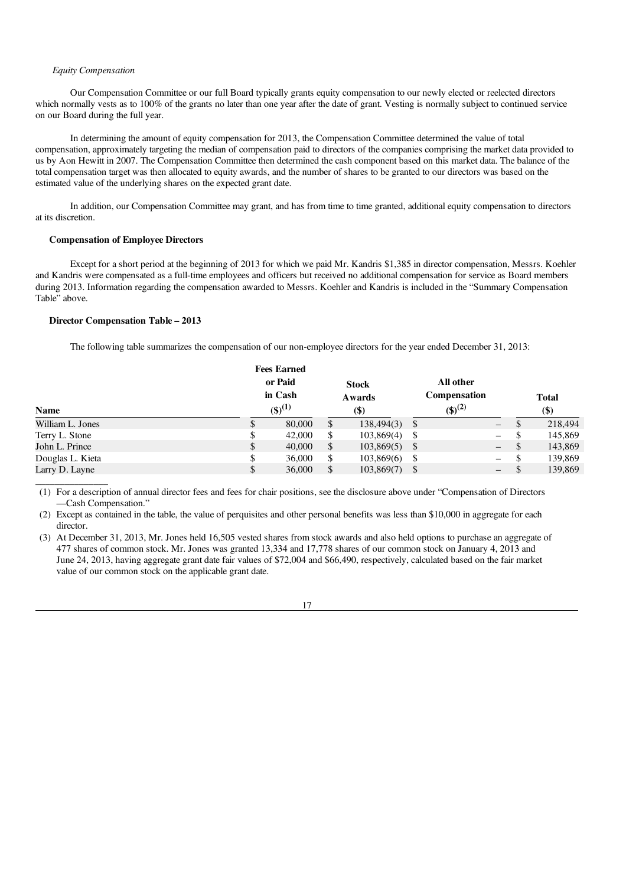#### *Equity Compensation*

Our Compensation Committee or our full Board typically grants equity compensation to our newly elected or reelected directors which normally vests as to 100% of the grants no later than one year after the date of grant. Vesting is normally subject to continued service on our Board during the full year.

In determining the amount of equity compensation for 2013, the Compensation Committee determined the value of total compensation, approximately targeting the median of compensation paid to directors of the companies comprising the market data provided to us by Aon Hewitt in 2007. The Compensation Committee then determined the cash component based on this market data. The balance of the total compensation target was then allocated to equity awards, and the number of shares to be granted to our directors was based on the estimated value of the underlying shares on the expected grant date.

In addition, our Compensation Committee may grant, and has from time to time granted, additional equity compensation to directors at its discretion.

# Compensation of Employee Directors

Except for a short period at the beginning of 2013 for which we paid Mr. Kandris \$1,385 in director compensation, Messrs. Koehler and Kandris were compensated as a full-time employees and officers but received no additional compensation for service as Board members during 2013. Information regarding the compensation awarded to Messrs. Koehler and Kandris is included in the "Summary Compensation Table" above.

# Director Compensation Table – 2013

The following table summarizes the compensation of our non-employee directors for the year ended December 31, 2013:

|                  | <b>Fees Earned</b>               |    |                               |          |                                             |                          |               |                     |
|------------------|----------------------------------|----|-------------------------------|----------|---------------------------------------------|--------------------------|---------------|---------------------|
| Name             | or Paid<br>in Cash<br>$$^{(1)}$$ |    | <b>Stock</b><br>Awards<br>\$) |          | All other<br>Compensation<br>$({\$})^{(2)}$ |                          |               | <b>Total</b><br>\$) |
| William L. Jones | 80,000                           | S  | 138,494(3)                    | <b>S</b> |                                             | —                        | Ф             | 218,494             |
| Terry L. Stone   | \$<br>42,000                     | \$ | 103,869(4)                    | - \$     |                                             | -                        | S             | 145,869             |
| John L. Prince   | 40,000                           | \$ | 103,869(5)                    | - S      |                                             | $-$                      |               | 143,869             |
| Douglas L. Kieta | 36,000                           | \$ | 103,869(6)                    | - S      |                                             | $\overline{\phantom{0}}$ | <sup>\$</sup> | 139,869             |
| Larry D. Layne   | 36,000                           | \$ | $103,869(7)$ \$               |          |                                             | $\qquad \qquad -$        | \$            | 139,869             |
|                  |                                  |    |                               |          |                                             |                          |               |                     |

(1) For a description of annual director fees and fees for chair positions, see the disclosure above under "Compensation of Directors —Cash Compensation."

(2) Except as contained in the table, the value of perquisites and other personal benefits was less than \$10,000 in aggregate for each director.

(3) At December 31, 2013, Mr. Jones held 16,505 vested shares from stock awards and also held options to purchase an aggregate of 477 shares of common stock. Mr. Jones was granted 13,334 and 17,778 shares of our common stock on January 4, 2013 and June 24, 2013, having aggregate grant date fair values of \$72,004 and \$66,490, respectively, calculated based on the fair market value of our common stock on the applicable grant date.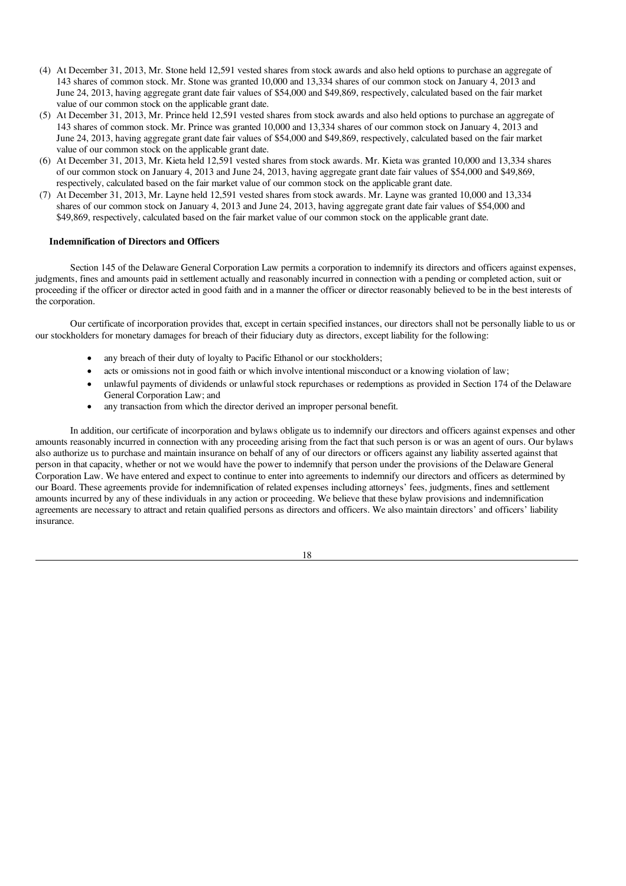- (4) At December 31, 2013, Mr. Stone held 12,591 vested shares from stock awards and also held options to purchase an aggregate of 143 shares of common stock. Mr. Stone was granted 10,000 and 13,334 shares of our common stock on January 4, 2013 and June 24, 2013, having aggregate grant date fair values of \$54,000 and \$49,869, respectively, calculated based on the fair market value of our common stock on the applicable grant date.
- (5) At December 31, 2013, Mr. Prince held 12,591 vested shares from stock awards and also held options to purchase an aggregate of 143 shares of common stock. Mr. Prince was granted 10,000 and 13,334 shares of our common stock on January 4, 2013 and June 24, 2013, having aggregate grant date fair values of \$54,000 and \$49,869, respectively, calculated based on the fair market value of our common stock on the applicable grant date.
- (6) At December 31, 2013, Mr. Kieta held 12,591 vested shares from stock awards. Mr. Kieta was granted 10,000 and 13,334 shares of our common stock on January 4, 2013 and June 24, 2013, having aggregate grant date fair values of \$54,000 and \$49,869, respectively, calculated based on the fair market value of our common stock on the applicable grant date.
- (7) At December 31, 2013, Mr. Layne held 12,591 vested shares from stock awards. Mr. Layne was granted 10,000 and 13,334 shares of our common stock on January 4, 2013 and June 24, 2013, having aggregate grant date fair values of \$54,000 and \$49,869, respectively, calculated based on the fair market value of our common stock on the applicable grant date.

# Indemnification of Directors and Officers

Section 145 of the Delaware General Corporation Law permits a corporation to indemnify its directors and officers against expenses, judgments, fines and amounts paid in settlement actually and reasonably incurred in connection with a pending or completed action, suit or proceeding if the officer or director acted in good faith and in a manner the officer or director reasonably believed to be in the best interests of the corporation.

Our certificate of incorporation provides that, except in certain specified instances, our directors shall not be personally liable to us or our stockholders for monetary damages for breach of their fiduciary duty as directors, except liability for the following:

- any breach of their duty of loyalty to Pacific Ethanol or our stockholders;
- acts or omissions not in good faith or which involve intentional misconduct or a knowing violation of law;
- · unlawful payments of dividends or unlawful stock repurchases or redemptions as provided in Section 174 of the Delaware General Corporation Law; and
- · any transaction from which the director derived an improper personal benefit.

In addition, our certificate of incorporation and bylaws obligate us to indemnify our directors and officers against expenses and other amounts reasonably incurred in connection with any proceeding arising from the fact that such person is or was an agent of ours. Our bylaws also authorize us to purchase and maintain insurance on behalf of any of our directors or officers against any liability asserted against that person in that capacity, whether or not we would have the power to indemnify that person under the provisions of the Delaware General Corporation Law. We have entered and expect to continue to enter into agreements to indemnify our directors and officers as determined by our Board. These agreements provide for indemnification of related expenses including attorneys' fees, judgments, fines and settlement amounts incurred by any of these individuals in any action or proceeding. We believe that these bylaw provisions and indemnification agreements are necessary to attract and retain qualified persons as directors and officers. We also maintain directors' and officers' liability insurance.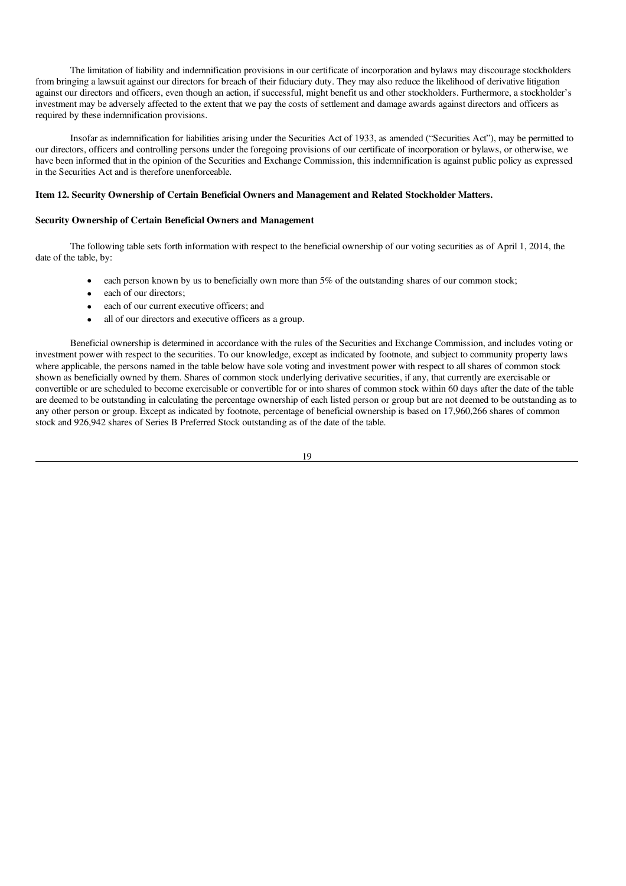The limitation of liability and indemnification provisions in our certificate of incorporation and bylaws may discourage stockholders from bringing a lawsuit against our directors for breach of their fiduciary duty. They may also reduce the likelihood of derivative litigation against our directors and officers, even though an action, if successful, might benefit us and other stockholders. Furthermore, a stockholder's investment may be adversely affected to the extent that we pay the costs of settlement and damage awards against directors and officers as required by these indemnification provisions.

Insofar as indemnification for liabilities arising under the Securities Act of 1933, as amended ("Securities Act"), may be permitted to our directors, officers and controlling persons under the foregoing provisions of our certificate of incorporation or bylaws, or otherwise, we have been informed that in the opinion of the Securities and Exchange Commission, this indemnification is against public policy as expressed in the Securities Act and is therefore unenforceable.

# Item 12. Security Ownership of Certain Beneficial Owners and Management and Related Stockholder Matters.

# Security Ownership of Certain Beneficial Owners and Management

The following table sets forth information with respect to the beneficial ownership of our voting securities as of April 1, 2014, the date of the table, by:

- each person known by us to beneficially own more than 5% of the outstanding shares of our common stock;
- each of our directors:
- each of our current executive officers; and
- · all of our directors and executive officers as a group.

Beneficial ownership is determined in accordance with the rules of the Securities and Exchange Commission, and includes voting or investment power with respect to the securities. To our knowledge, except as indicated by footnote, and subject to community property laws where applicable, the persons named in the table below have sole voting and investment power with respect to all shares of common stock shown as beneficially owned by them. Shares of common stock underlying derivative securities, if any, that currently are exercisable or convertible or are scheduled to become exercisable or convertible for or into shares of common stock within 60 days after the date of the table are deemed to be outstanding in calculating the percentage ownership of each listed person or group but are not deemed to be outstanding as to any other person or group. Except as indicated by footnote, percentage of beneficial ownership is based on 17,960,266 shares of common stock and 926,942 shares of Series B Preferred Stock outstanding as of the date of the table.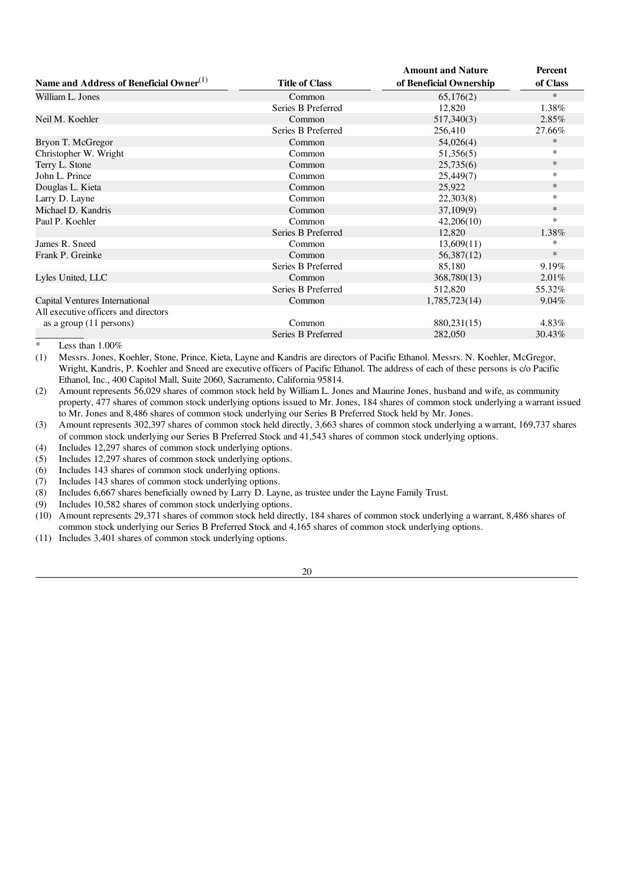|                                                     |                       | <b>Amount and Nature</b> | Percent  |
|-----------------------------------------------------|-----------------------|--------------------------|----------|
| Name and Address of Beneficial Owner <sup>(1)</sup> | <b>Title of Class</b> | of Beneficial Ownership  | of Class |
| William L. Jones                                    | Common                | 65,176(2)                | $\ast$   |
|                                                     | Series B Preferred    | 12,820                   | 1.38%    |
| Neil M. Koehler                                     | Common                | 517,340(3)               | 2.85%    |
|                                                     | Series B Preferred    | 256,410                  | 27.66%   |
| Bryon T. McGregor                                   | Common                | 54,026(4)                | $\ast$   |
| Christopher W. Wright                               | Common                | 51,356(5)                | $\ast$   |
| Terry L. Stone                                      | Common                | 25,735(6)                | $\ast$   |
| John L. Prince                                      | Common                | 25,449(7)                | $\ast$   |
| Douglas L. Kieta                                    | Common                | 25,922                   | $\ast$   |
| Larry D. Layne                                      | Common                | 22,303(8)                | *        |
| Michael D. Kandris                                  | Common                | 37,109(9)                | $\ast$   |
| Paul P. Koehler                                     | Common                | 42,206(10)               | $\ast$   |
|                                                     | Series B Preferred    | 12,820                   | 1.38%    |
| James R. Sneed                                      | Common                | 13,609(11)               | *        |
| Frank P. Greinke                                    | Common                | 56,387(12)               | $\ast$   |
|                                                     | Series B Preferred    | 85,180                   | 9.19%    |
| Lyles United, LLC                                   | Common                | 368,780(13)              | 2.01%    |
|                                                     | Series B Preferred    | 512,820                  | 55.32%   |
| Capital Ventures International                      | Common                | 1,785,723(14)            | 9.04%    |
| All executive officers and directors                |                       |                          |          |
| as a group $(11 \text{ persons})$                   | Common                | 880,231(15)              | 4.83%    |
|                                                     | Series B Preferred    | 282,050                  | 30.43%   |

Less than  $1.00\%$ 

(1) Messrs. Jones, Koehler, Stone, Prince, Kieta, Layne and Kandris are directors of Pacific Ethanol. Messrs. N. Koehler, McGregor, Wright, Kandris, P. Koehler and Sneed are executive officers of Pacific Ethanol. The address of each of these persons is c/o Pacific Ethanol, Inc., 400 Capitol Mall, Suite 2060, Sacramento, California 95814.

(2) Amount represents 56,029 shares of common stock held by William L. Jones and Maurine Jones, husband and wife, as community property, 477 shares of common stock underlying options issued to Mr. Jones, 184 shares of common stock underlying a warrant issued to Mr. Jones and 8,486 shares of common stock underlying our Series B Preferred Stock held by Mr. Jones.

(3) Amount represents 302,397 shares of common stock held directly, 3,663 shares of common stock underlying a warrant, 169,737 shares of common stock underlying our Series B Preferred Stock and 41,543 shares of common stock underlying options.

(4) Includes 12,297 shares of common stock underlying options.

(5) Includes 12,297 shares of common stock underlying options.

(6) Includes 143 shares of common stock underlying options.

(7) Includes 143 shares of common stock underlying options.

(8) Includes 6,667 shares beneficially owned by Larry D. Layne, as trustee under the Layne Family Trust.

(9) Includes 10,582 shares of common stock underlying options.

(10) Amount represents 29,371 shares of common stock held directly, 184 shares of common stock underlying a warrant, 8,486 shares of common stock underlying our Series B Preferred Stock and 4,165 shares of common stock underlying options.

(11) Includes 3,401 shares of common stock underlying options.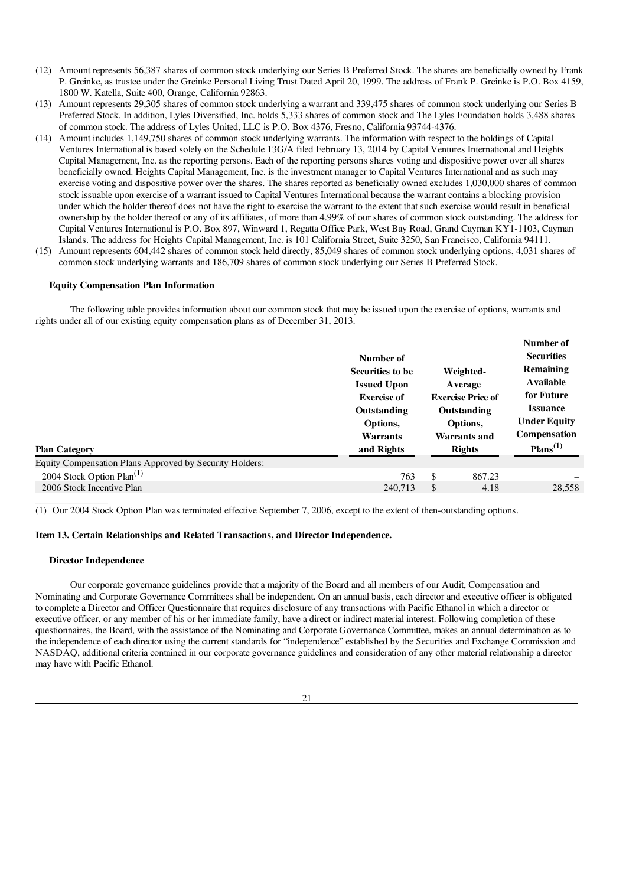- (12) Amount represents 56,387 shares of common stock underlying our Series B Preferred Stock. The shares are beneficially owned by Frank P. Greinke, as trustee under the Greinke Personal Living Trust Dated April 20, 1999. The address of Frank P. Greinke is P.O. Box 4159, 1800 W. Katella, Suite 400, Orange, California 92863.
- (13) Amount represents 29,305 shares of common stock underlying a warrant and 339,475 shares of common stock underlying our Series B Preferred Stock. In addition, Lyles Diversified, Inc. holds 5,333 shares of common stock and The Lyles Foundation holds 3,488 shares of common stock. The address of Lyles United, LLC is P.O. Box 4376, Fresno, California 93744-4376.
- (14) Amount includes 1,149,750 shares of common stock underlying warrants. The information with respect to the holdings of Capital Ventures International is based solely on the Schedule 13G/A filed February 13, 2014 by Capital Ventures International and Heights Capital Management, Inc. as the reporting persons. Each of the reporting persons shares voting and dispositive power over all shares beneficially owned. Heights Capital Management, Inc. is the investment manager to Capital Ventures International and as such may exercise voting and dispositive power over the shares. The shares reported as beneficially owned excludes 1,030,000 shares of common stock issuable upon exercise of a warrant issued to Capital Ventures International because the warrant contains a blocking provision under which the holder thereof does not have the right to exercise the warrant to the extent that such exercise would result in beneficial ownership by the holder thereof or any of its affiliates, of more than 4.99% of our shares of common stock outstanding. The address for Capital Ventures International is P.O. Box 897, Winward 1, Regatta Office Park, West Bay Road, Grand Cayman KY1-1103, Cayman Islands. The address for Heights Capital Management, Inc. is 101 California Street, Suite 3250, San Francisco, California 94111.
- (15) Amount represents 604,442 shares of common stock held directly, 85,049 shares of common stock underlying options, 4,031 shares of common stock underlying warrants and 186,709 shares of common stock underlying our Series B Preferred Stock.

# Equity Compensation Plan Information

The following table provides information about our common stock that may be issued upon the exercise of options, warrants and rights under all of our existing equity compensation plans as of December 31, 2013.

|                                                         | Number of<br><b>Securities to be</b><br><b>Issued Upon</b><br><b>Exercise of</b><br>Outstanding<br>Options,<br>Warrants |               | Weighted-<br>Average<br><b>Exercise Price of</b><br>Outstanding<br>Options,<br><b>Warrants and</b> | Number of<br><b>Securities</b><br>Remaining<br><b>Available</b><br>for Future<br><b>Issuance</b><br><b>Under Equity</b><br>Compensation |
|---------------------------------------------------------|-------------------------------------------------------------------------------------------------------------------------|---------------|----------------------------------------------------------------------------------------------------|-----------------------------------------------------------------------------------------------------------------------------------------|
| <b>Plan Category</b>                                    | and Rights                                                                                                              |               | <b>Rights</b>                                                                                      | Plans <sup>(1)</sup>                                                                                                                    |
| Equity Compensation Plans Approved by Security Holders: |                                                                                                                         |               |                                                                                                    |                                                                                                                                         |
| 2004 Stock Option Plan <sup>(1)</sup>                   | 763                                                                                                                     | <sup>\$</sup> | 867.23                                                                                             |                                                                                                                                         |
| 2006 Stock Incentive Plan                               | 240,713                                                                                                                 | \$            | 4.18                                                                                               | 28,558                                                                                                                                  |
|                                                         |                                                                                                                         |               |                                                                                                    |                                                                                                                                         |

(1) Our 2004 Stock Option Plan was terminated effective September 7, 2006, except to the extent of then-outstanding options.

# Item 13. Certain Relationships and Related Transactions, and Director Independence.

# Director Independence

Our corporate governance guidelines provide that a majority of the Board and all members of our Audit, Compensation and Nominating and Corporate Governance Committees shall be independent. On an annual basis, each director and executive officer is obligated to complete a Director and Officer Questionnaire that requires disclosure of any transactions with Pacific Ethanol in which a director or executive officer, or any member of his or her immediate family, have a direct or indirect material interest. Following completion of these questionnaires, the Board, with the assistance of the Nominating and Corporate Governance Committee, makes an annual determination as to the independence of each director using the current standards for "independence" established by the Securities and Exchange Commission and NASDAQ, additional criteria contained in our corporate governance guidelines and consideration of any other material relationship a director may have with Pacific Ethanol.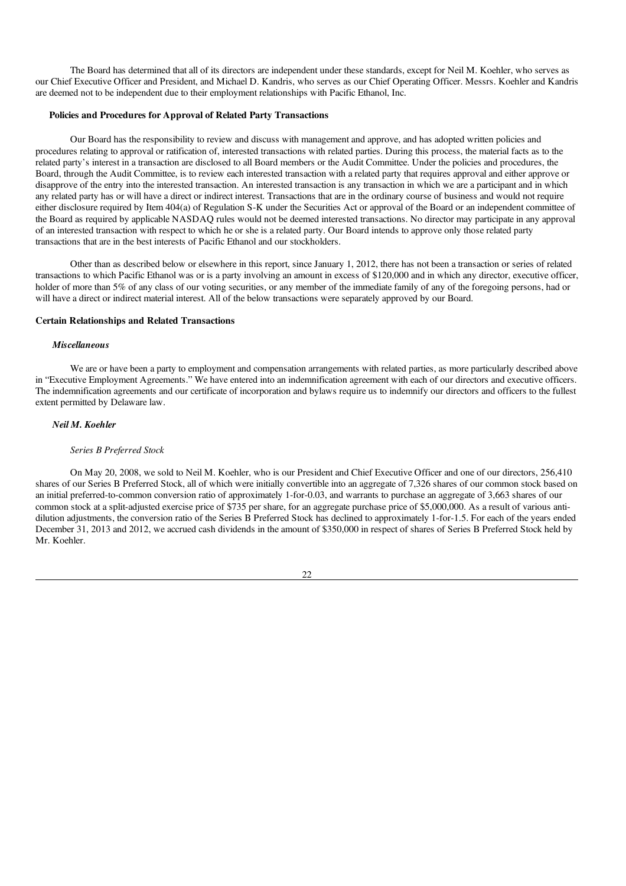The Board has determined that all of its directors are independent under these standards, except for Neil M. Koehler, who serves as our Chief Executive Officer and President, and Michael D. Kandris, who serves as our Chief Operating Officer. Messrs. Koehler and Kandris are deemed not to be independent due to their employment relationships with Pacific Ethanol, Inc.

### Policies and Procedures for Approval of Related Party Transactions

Our Board has the responsibility to review and discuss with management and approve, and has adopted written policies and procedures relating to approval or ratification of, interested transactions with related parties. During this process, the material facts as to the related party's interest in a transaction are disclosed to all Board members or the Audit Committee. Under the policies and procedures, the Board, through the Audit Committee, is to review each interested transaction with a related party that requires approval and either approve or disapprove of the entry into the interested transaction. An interested transaction is any transaction in which we are a participant and in which any related party has or will have a direct or indirect interest. Transactions that are in the ordinary course of business and would not require either disclosure required by Item 404(a) of Regulation S-K under the Securities Act or approval of the Board or an independent committee of the Board as required by applicable NASDAQ rules would not be deemed interested transactions. No director may participate in any approval of an interested transaction with respect to which he or she is a related party. Our Board intends to approve only those related party transactions that are in the best interests of Pacific Ethanol and our stockholders.

Other than as described below or elsewhere in this report, since January 1, 2012, there has not been a transaction or series of related transactions to which Pacific Ethanol was or is a party involving an amount in excess of \$120,000 and in which any director, executive officer, holder of more than 5% of any class of our voting securities, or any member of the immediate family of any of the foregoing persons, had or will have a direct or indirect material interest. All of the below transactions were separately approved by our Board.

### Certain Relationships and Related Transactions

#### *Miscellaneous*

We are or have been a party to employment and compensation arrangements with related parties, as more particularly described above in "Executive Employment Agreements." We have entered into an indemnification agreement with each of our directors and executive officers. The indemnification agreements and our certificate of incorporation and bylaws require us to indemnify our directors and officers to the fullest extent permitted by Delaware law.

#### *Neil M. Koehler*

#### *Series B Preferred Stock*

On May 20, 2008, we sold to Neil M. Koehler, who is our President and Chief Executive Officer and one of our directors, 256,410 shares of our Series B Preferred Stock, all of which were initially convertible into an aggregate of 7,326 shares of our common stock based on an initial preferred-to-common conversion ratio of approximately 1-for-0.03, and warrants to purchase an aggregate of 3,663 shares of our common stock at a split-adjusted exercise price of \$735 per share, for an aggregate purchase price of \$5,000,000. As a result of various antidilution adjustments, the conversion ratio of the Series B Preferred Stock has declined to approximately 1-for-1.5. For each of the years ended December 31, 2013 and 2012, we accrued cash dividends in the amount of \$350,000 in respect of shares of Series B Preferred Stock held by Mr. Koehler.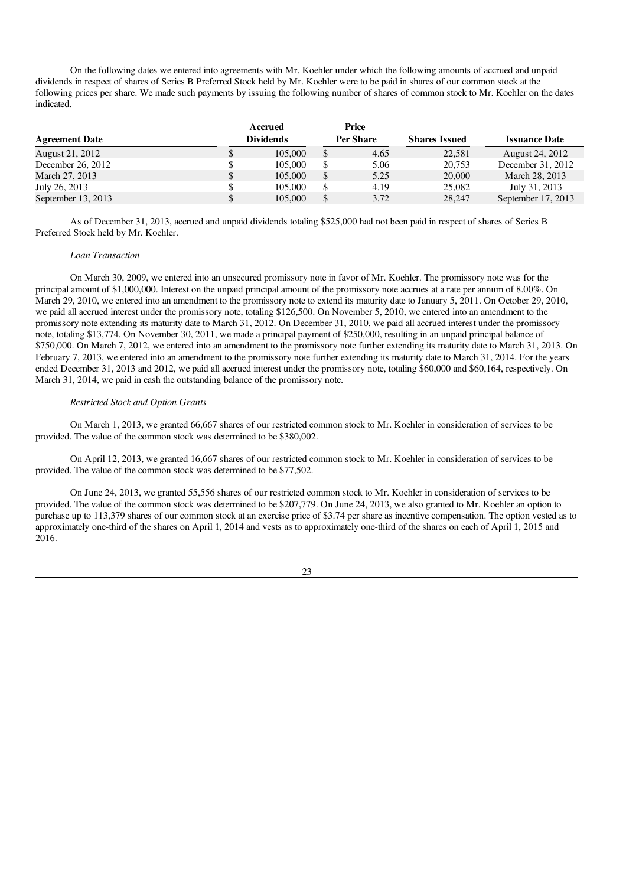On the following dates we entered into agreements with Mr. Koehler under which the following amounts of accrued and unpaid dividends in respect of shares of Series B Preferred Stock held by Mr. Koehler were to be paid in shares of our common stock at the following prices per share. We made such payments by issuing the following number of shares of common stock to Mr. Koehler on the dates indicated.

|                       | Accrued          |               | Price            |                      |                      |
|-----------------------|------------------|---------------|------------------|----------------------|----------------------|
| <b>Agreement Date</b> | <b>Dividends</b> |               | <b>Per Share</b> | <b>Shares Issued</b> | <b>Issuance Date</b> |
| August 21, 2012       | 105,000          | S             | 4.65             | 22,581               | August 24, 2012      |
| December 26, 2012     | 105,000          | \$.           | 5.06             | 20.753               | December 31, 2012    |
| March 27, 2013        | 105,000          | $\mathcal{S}$ | 5.25             | 20,000               | March 28, 2013       |
| July 26, 2013         | 105,000          | \$            | 4.19             | 25,082               | July 31, 2013        |
| September 13, 2013    | 105,000          | \$            | 3.72             | 28,247               | September 17, 2013   |

As of December 31, 2013, accrued and unpaid dividends totaling \$525,000 had not been paid in respect of shares of Series B Preferred Stock held by Mr. Koehler.

#### *Loan Transaction*

On March 30, 2009, we entered into an unsecured promissory note in favor of Mr. Koehler. The promissory note was for the principal amount of \$1,000,000. Interest on the unpaid principal amount of the promissory note accrues at a rate per annum of 8.00%. On March 29, 2010, we entered into an amendment to the promissory note to extend its maturity date to January 5, 2011. On October 29, 2010, we paid all accrued interest under the promissory note, totaling \$126,500. On November 5, 2010, we entered into an amendment to the promissory note extending its maturity date to March 31, 2012. On December 31, 2010, we paid all accrued interest under the promissory note, totaling \$13,774. On November 30, 2011, we made a principal payment of \$250,000, resulting in an unpaid principal balance of \$750,000. On March 7, 2012, we entered into an amendment to the promissory note further extending its maturity date to March 31, 2013. On February 7, 2013, we entered into an amendment to the promissory note further extending its maturity date to March 31, 2014. For the years ended December 31, 2013 and 2012, we paid all accrued interest under the promissory note, totaling \$60,000 and \$60,164, respectively. On March 31, 2014, we paid in cash the outstanding balance of the promissory note.

### *Restricted Stock and Option Grants*

On March 1, 2013, we granted 66,667 shares of our restricted common stock to Mr. Koehler in consideration of services to be provided. The value of the common stock was determined to be \$380,002.

On April 12, 2013, we granted 16,667 shares of our restricted common stock to Mr. Koehler in consideration of services to be provided. The value of the common stock was determined to be \$77,502.

On June 24, 2013, we granted 55,556 shares of our restricted common stock to Mr. Koehler in consideration of services to be provided. The value of the common stock was determined to be \$207,779. On June 24, 2013, we also granted to Mr. Koehler an option to purchase up to 113,379 shares of our common stock at an exercise price of \$3.74 per share as incentive compensation. The option vested as to approximately one-third of the shares on April 1, 2014 and vests as to approximately one-third of the shares on each of April 1, 2015 and 2016.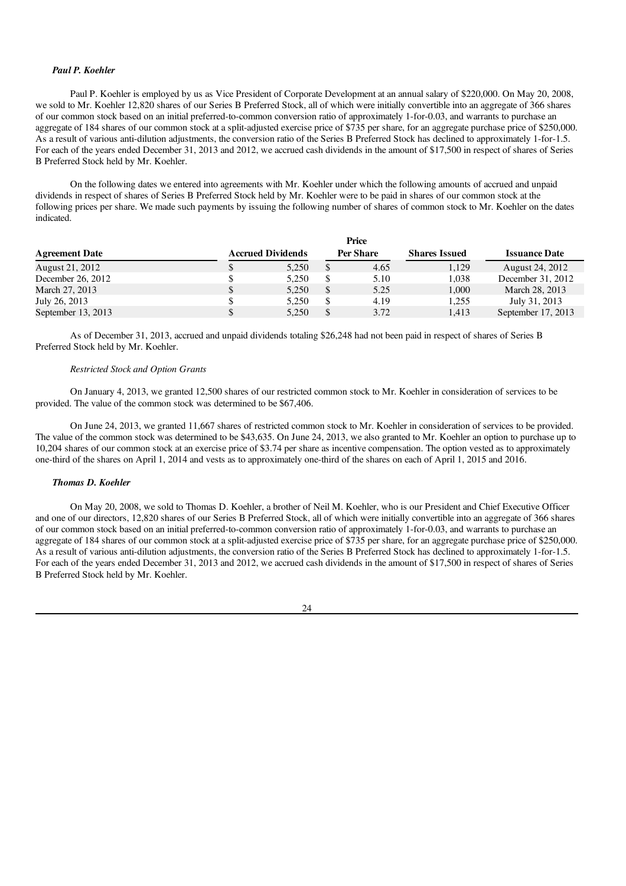# *Paul P. Koehler*

Paul P. Koehler is employed by us as Vice President of Corporate Development at an annual salary of \$220,000. On May 20, 2008, we sold to Mr. Koehler 12,820 shares of our Series B Preferred Stock, all of which were initially convertible into an aggregate of 366 shares of our common stock based on an initial preferred-to-common conversion ratio of approximately 1-for-0.03, and warrants to purchase an aggregate of 184 shares of our common stock at a split-adjusted exercise price of \$735 per share, for an aggregate purchase price of \$250,000. As a result of various anti-dilution adjustments, the conversion ratio of the Series B Preferred Stock has declined to approximately 1-for-1.5. For each of the years ended December 31, 2013 and 2012, we accrued cash dividends in the amount of \$17,500 in respect of shares of Series B Preferred Stock held by Mr. Koehler.

On the following dates we entered into agreements with Mr. Koehler under which the following amounts of accrued and unpaid dividends in respect of shares of Series B Preferred Stock held by Mr. Koehler were to be paid in shares of our common stock at the following prices per share. We made such payments by issuing the following number of shares of common stock to Mr. Koehler on the dates indicated.

| <b>Agreement Date</b> |  | <b>Accrued Dividends</b> | <b>Per Share</b> | <b>Shares Issued</b> | <b>Issuance Date</b> |
|-----------------------|--|--------------------------|------------------|----------------------|----------------------|
| August 21, 2012       |  | 5,250                    | \$<br>4.65       | 1,129                | August 24, 2012      |
| December 26, 2012     |  | 5.250                    | \$<br>5.10       | 1.038                | December 31, 2012    |
| March 27, 2013        |  | 5.250                    | \$<br>5.25       | 1.000                | March 28, 2013       |
| July 26, 2013         |  | 5.250                    | \$<br>4.19       | 1,255                | July 31, 2013        |
| September 13, 2013    |  | 5.250                    | \$<br>3.72       | 1.413                | September 17, 2013   |

As of December 31, 2013, accrued and unpaid dividends totaling \$26,248 had not been paid in respect of shares of Series B Preferred Stock held by Mr. Koehler.

# *Restricted Stock and Option Grants*

On January 4, 2013, we granted 12,500 shares of our restricted common stock to Mr. Koehler in consideration of services to be provided. The value of the common stock was determined to be \$67,406.

On June 24, 2013, we granted 11,667 shares of restricted common stock to Mr. Koehler in consideration of services to be provided. The value of the common stock was determined to be \$43,635. On June 24, 2013, we also granted to Mr. Koehler an option to purchase up to 10,204 shares of our common stock at an exercise price of \$3.74 per share as incentive compensation. The option vested as to approximately one-third of the shares on April 1, 2014 and vests as to approximately one-third of the shares on each of April 1, 2015 and 2016.

### *Thomas D. Koehler*

On May 20, 2008, we sold to Thomas D. Koehler, a brother of Neil M. Koehler, who is our President and Chief Executive Officer and one of our directors, 12,820 shares of our Series B Preferred Stock, all of which were initially convertible into an aggregate of 366 shares of our common stock based on an initial preferred-to-common conversion ratio of approximately 1-for-0.03, and warrants to purchase an aggregate of 184 shares of our common stock at a split-adjusted exercise price of \$735 per share, for an aggregate purchase price of \$250,000. As a result of various anti-dilution adjustments, the conversion ratio of the Series B Preferred Stock has declined to approximately 1-for-1.5. For each of the years ended December 31, 2013 and 2012, we accrued cash dividends in the amount of \$17,500 in respect of shares of Series B Preferred Stock held by Mr. Koehler.

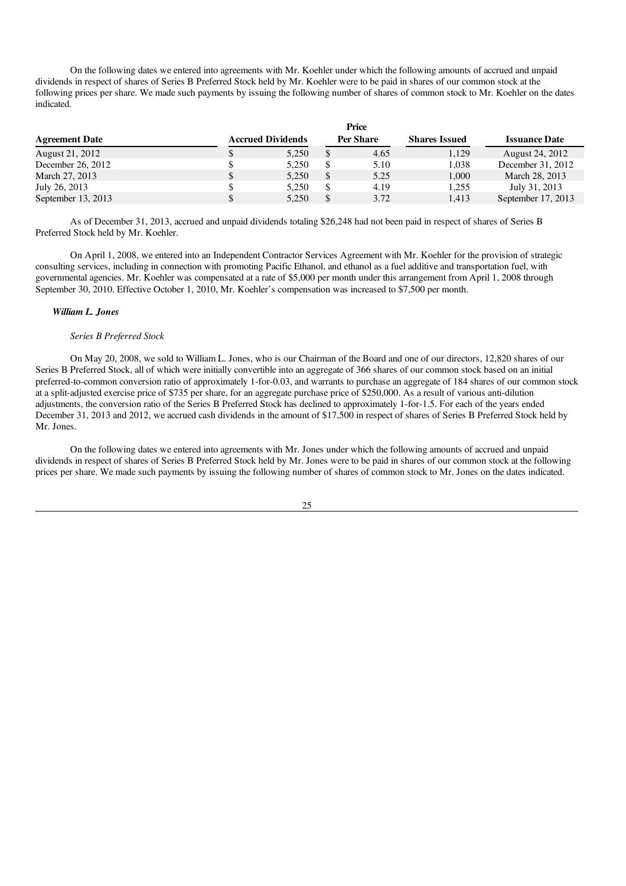On the following dates we entered into agreements with Mr. Koehler under which the following amounts of accrued and unpaid dividends in respect of shares of Series B Preferred Stock held by Mr. Koehler were to be paid in shares of our common stock at the following prices per share. We made such payments by issuing the following number of shares of common stock to Mr. Koehler on the dates indicated.

|                       |                          |    | Price            |                      |                      |  |
|-----------------------|--------------------------|----|------------------|----------------------|----------------------|--|
| <b>Agreement Date</b> | <b>Accrued Dividends</b> |    | <b>Per Share</b> | <b>Shares Issued</b> | <b>Issuance Date</b> |  |
| August 21, 2012       | 5,250                    | \$ | 4.65             | 1,129                | August 24, 2012      |  |
| December 26, 2012     | 5.250                    | \$ | 5.10             | 1.038                | December 31, 2012    |  |
| March 27, 2013        | 5.250                    | \$ | 5.25             | 1.000                | March 28, 2013       |  |
| July 26, 2013         | 5.250                    | \$ | 4.19             | 1.255                | July 31, 2013        |  |
| September 13, 2013    | 5.250                    | \$ | 3.72             | 1.413                | September 17, 2013   |  |

As of December 31, 2013, accrued and unpaid dividends totaling \$26,248 had not been paid in respect of shares of Series B Preferred Stock held by Mr. Koehler.

On April 1, 2008, we entered into an Independent Contractor Services Agreement with Mr. Koehler for the provision of strategic consulting services, including in connection with promoting Pacific Ethanol, and ethanol as a fuel additive and transportation fuel, with governmental agencies. Mr. Koehler was compensated at a rate of \$5,000 per month under this arrangement from April 1, 2008 through September 30, 2010. Effective October 1, 2010, Mr. Koehler's compensation was increased to \$7,500 per month.

### *William L. Jones*

#### *Series B Preferred Stock*

On May 20, 2008, we sold to William L. Jones, who is our Chairman of the Board and one of our directors, 12,820 shares of our Series B Preferred Stock, all of which were initially convertible into an aggregate of 366 shares of our common stock based on an initial preferred-to-common conversion ratio of approximately 1-for-0.03, and warrants to purchase an aggregate of 184 shares of our common stock at a split-adjusted exercise price of \$735 per share, for an aggregate purchase price of \$250,000. As a result of various anti-dilution adjustments, the conversion ratio of the Series B Preferred Stock has declined to approximately 1-for-1.5. For each of the years ended December 31, 2013 and 2012, we accrued cash dividends in the amount of \$17,500 in respect of shares of Series B Preferred Stock held by Mr. Jones.

On the following dates we entered into agreements with Mr. Jones under which the following amounts of accrued and unpaid dividends in respect of shares of Series B Preferred Stock held by Mr. Jones were to be paid in shares of our common stock at the following prices per share. We made such payments by issuing the following number of shares of common stock to Mr. Jones on the dates indicated.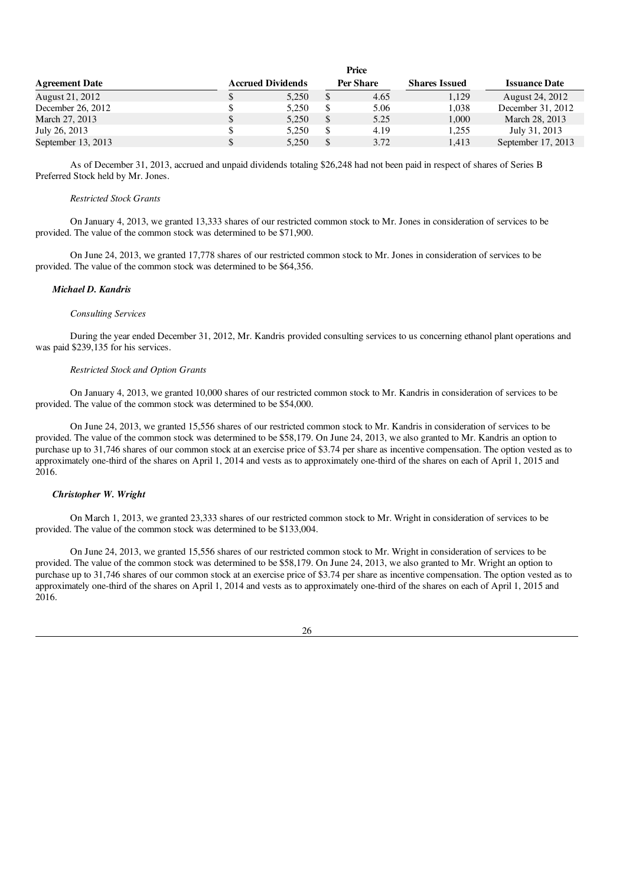| <b>Agreement Date</b> | <b>Accrued Dividends</b> |       | <b>Per Share</b> |      | <b>Shares Issued</b> | <b>Issuance Date</b> |
|-----------------------|--------------------------|-------|------------------|------|----------------------|----------------------|
| August 21, 2012       |                          | 5.250 | <sup>\$</sup>    | 4.65 | 1,129                | August 24, 2012      |
| December 26, 2012     |                          | 5.250 | S                | 5.06 | 1,038                | December 31, 2012    |
| March 27, 2013        | <sup>\$</sup>            | 5,250 | <sup>\$</sup>    | 5.25 | 1.000                | March 28, 2013       |
| July 26, 2013         |                          | 5,250 | \$               | 4.19 | 1,255                | July 31, 2013        |
| September 13, 2013    |                          | 5,250 | <sup>\$</sup>    | 3.72 | 1,413                | September 17, 2013   |

As of December 31, 2013, accrued and unpaid dividends totaling \$26,248 had not been paid in respect of shares of Series B Preferred Stock held by Mr. Jones.

# *Restricted Stock Grants*

On January 4, 2013, we granted 13,333 shares of our restricted common stock to Mr. Jones in consideration of services to be provided. The value of the common stock was determined to be \$71,900.

On June 24, 2013, we granted 17,778 shares of our restricted common stock to Mr. Jones in consideration of services to be provided. The value of the common stock was determined to be \$64,356.

# *Michael D. Kandris*

#### *Consulting Services*

During the year ended December 31, 2012, Mr. Kandris provided consulting services to us concerning ethanol plant operations and was paid \$239,135 for his services.

#### *Restricted Stock and Option Grants*

On January 4, 2013, we granted 10,000 shares of our restricted common stock to Mr. Kandris in consideration of services to be provided. The value of the common stock was determined to be \$54,000.

On June 24, 2013, we granted 15,556 shares of our restricted common stock to Mr. Kandris in consideration of services to be provided. The value of the common stock was determined to be \$58,179. On June 24, 2013, we also granted to Mr. Kandris an option to purchase up to 31,746 shares of our common stock at an exercise price of \$3.74 per share as incentive compensation. The option vested as to approximately one-third of the shares on April 1, 2014 and vests as to approximately one-third of the shares on each of April 1, 2015 and 2016.

# *Christopher W. Wright*

On March 1, 2013, we granted 23,333 shares of our restricted common stock to Mr. Wright in consideration of services to be provided. The value of the common stock was determined to be \$133,004.

On June 24, 2013, we granted 15,556 shares of our restricted common stock to Mr. Wright in consideration of services to be provided. The value of the common stock was determined to be \$58,179. On June 24, 2013, we also granted to Mr. Wright an option to purchase up to 31,746 shares of our common stock at an exercise price of \$3.74 per share as incentive compensation. The option vested as to approximately one-third of the shares on April 1, 2014 and vests as to approximately one-third of the shares on each of April 1, 2015 and 2016.

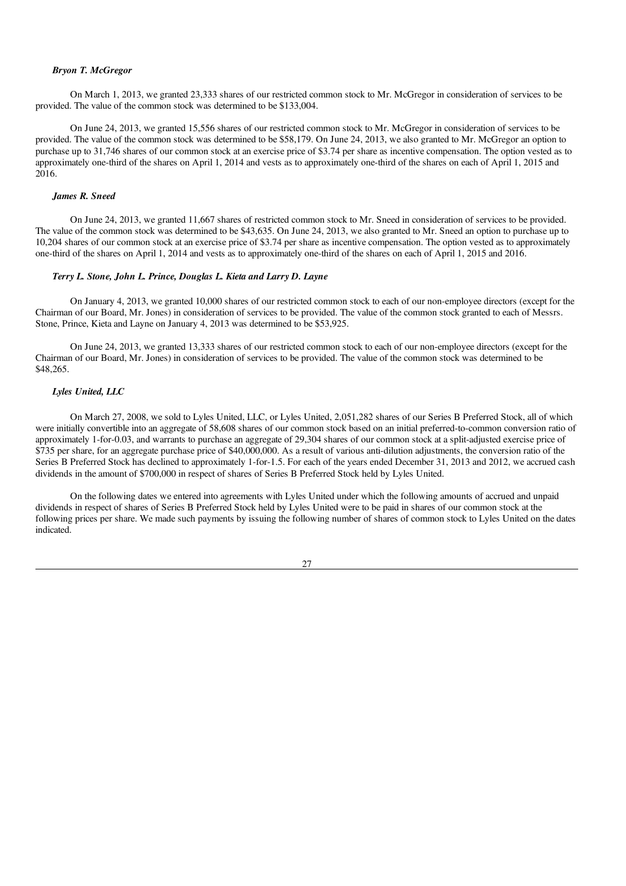#### *Bryon T. McGregor*

On March 1, 2013, we granted 23,333 shares of our restricted common stock to Mr. McGregor in consideration of services to be provided. The value of the common stock was determined to be \$133,004.

On June 24, 2013, we granted 15,556 shares of our restricted common stock to Mr. McGregor in consideration of services to be provided. The value of the common stock was determined to be \$58,179. On June 24, 2013, we also granted to Mr. McGregor an option to purchase up to 31,746 shares of our common stock at an exercise price of \$3.74 per share as incentive compensation. The option vested as to approximately one-third of the shares on April 1, 2014 and vests as to approximately one-third of the shares on each of April 1, 2015 and 2016.

# *James R. Sneed*

On June 24, 2013, we granted 11,667 shares of restricted common stock to Mr. Sneed in consideration of services to be provided. The value of the common stock was determined to be \$43,635. On June 24, 2013, we also granted to Mr. Sneed an option to purchase up to 10,204 shares of our common stock at an exercise price of \$3.74 per share as incentive compensation. The option vested as to approximately one-third of the shares on April 1, 2014 and vests as to approximately one-third of the shares on each of April 1, 2015 and 2016.

# *Terry L. Stone, John L. Prince, Douglas L. Kieta and Larry D. Layne*

On January 4, 2013, we granted 10,000 shares of our restricted common stock to each of our non-employee directors (except for the Chairman of our Board, Mr. Jones) in consideration of services to be provided. The value of the common stock granted to each of Messrs. Stone, Prince, Kieta and Layne on January 4, 2013 was determined to be \$53,925.

On June 24, 2013, we granted 13,333 shares of our restricted common stock to each of our non-employee directors (except for the Chairman of our Board, Mr. Jones) in consideration of services to be provided. The value of the common stock was determined to be \$48,265.

# *Lyles United, LLC*

On March 27, 2008, we sold to Lyles United, LLC, or Lyles United, 2,051,282 shares of our Series B Preferred Stock, all of which were initially convertible into an aggregate of 58,608 shares of our common stock based on an initial preferred-to-common conversion ratio of approximately 1-for-0.03, and warrants to purchase an aggregate of 29,304 shares of our common stock at a split-adjusted exercise price of \$735 per share, for an aggregate purchase price of \$40,000,000. As a result of various anti-dilution adjustments, the conversion ratio of the Series B Preferred Stock has declined to approximately 1-for-1.5. For each of the years ended December 31, 2013 and 2012, we accrued cash dividends in the amount of \$700,000 in respect of shares of Series B Preferred Stock held by Lyles United.

On the following dates we entered into agreements with Lyles United under which the following amounts of accrued and unpaid dividends in respect of shares of Series B Preferred Stock held by Lyles United were to be paid in shares of our common stock at the following prices per share. We made such payments by issuing the following number of shares of common stock to Lyles United on the dates indicated.

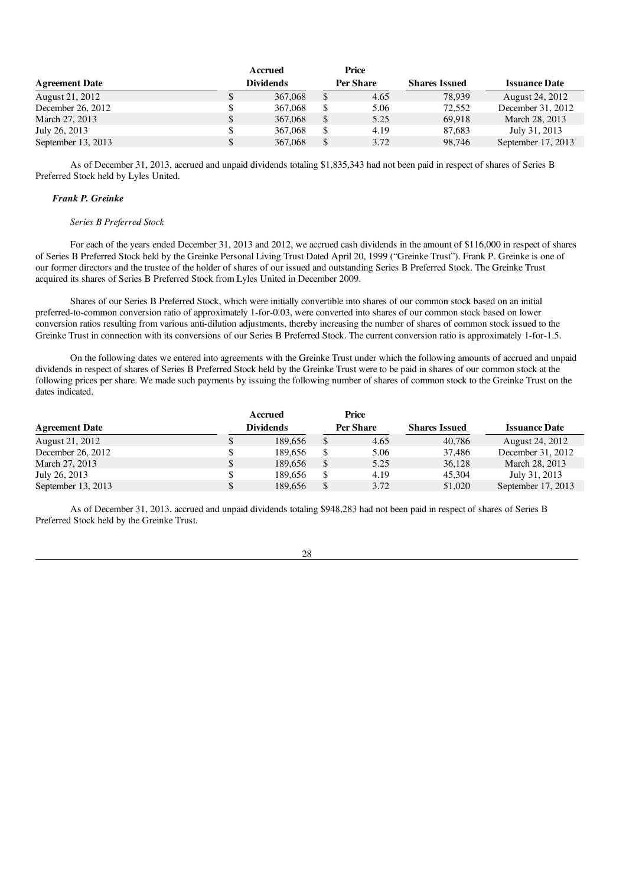|                       | Accrued          |  | Price     |                      |                      |
|-----------------------|------------------|--|-----------|----------------------|----------------------|
| <b>Agreement Date</b> | <b>Dividends</b> |  | Per Share | <b>Shares Issued</b> | <b>Issuance Date</b> |
| August 21, 2012       | 367,068          |  | 4.65      | 78,939               | August 24, 2012      |
| December 26, 2012     | 367,068          |  | 5.06      | 72.552               | December 31, 2012    |
| March 27, 2013        | 367,068          |  | 5.25      | 69.918               | March 28, 2013       |
| July 26, 2013         | 367,068          |  | 4.19      | 87.683               | July 31, 2013        |
| September 13, 2013    | 367,068          |  | 3.72      | 98,746               | September 17, 2013   |

As of December 31, 2013, accrued and unpaid dividends totaling \$1,835,343 had not been paid in respect of shares of Series B Preferred Stock held by Lyles United.

# *Frank P. Greinke*

# *Series B Preferred Stock*

For each of the years ended December 31, 2013 and 2012, we accrued cash dividends in the amount of \$116,000 in respect of shares of Series B Preferred Stock held by the Greinke Personal Living Trust Dated April 20, 1999 ("Greinke Trust"). Frank P. Greinke is one of our former directors and the trustee of the holder of shares of our issued and outstanding Series B Preferred Stock. The Greinke Trust acquired its shares of Series B Preferred Stock from Lyles United in December 2009.

Shares of our Series B Preferred Stock, which were initially convertible into shares of our common stock based on an initial preferred-to-common conversion ratio of approximately 1-for-0.03, were converted into shares of our common stock based on lower conversion ratios resulting from various anti-dilution adjustments, thereby increasing the number of shares of common stock issued to the Greinke Trust in connection with its conversions of our Series B Preferred Stock. The current conversion ratio is approximately 1-for-1.5.

On the following dates we entered into agreements with the Greinke Trust under which the following amounts of accrued and unpaid dividends in respect of shares of Series B Preferred Stock held by the Greinke Trust were to be paid in shares of our common stock at the following prices per share. We made such payments by issuing the following number of shares of common stock to the Greinke Trust on the dates indicated.

|                       |   | Accrued          |               | Price     |                      |                      |  |
|-----------------------|---|------------------|---------------|-----------|----------------------|----------------------|--|
| <b>Agreement Date</b> |   | <b>Dividends</b> |               | Per Share | <b>Shares Issued</b> | <b>Issuance Date</b> |  |
| August 21, 2012       |   | 189.656          | $\mathbb{S}$  | 4.65      | 40,786               | August 24, 2012      |  |
| December 26, 2012     | ◡ | 189.656          | \$            | 5.06      | 37.486               | December 31, 2012    |  |
| March 27, 2013        |   | 189.656          | <sup>\$</sup> | 5.25      | 36,128               | March 28, 2013       |  |
| July 26, 2013         | ъ | 189.656          | \$.           | 4.19      | 45,304               | July 31, 2013        |  |
| September 13, 2013    |   | 189.656          | $\mathbb{S}$  | 3.72      | 51,020               | September 17, 2013   |  |

As of December 31, 2013, accrued and unpaid dividends totaling \$948,283 had not been paid in respect of shares of Series B Preferred Stock held by the Greinke Trust.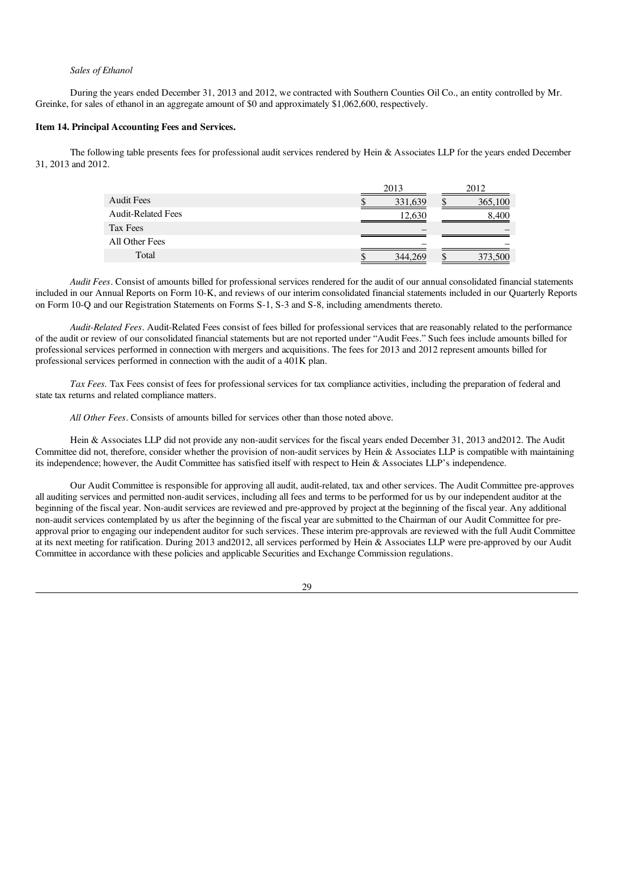### *Sales of Ethanol*

During the years ended December 31, 2013 and 2012, we contracted with Southern Counties Oil Co., an entity controlled by Mr. Greinke, for sales of ethanol in an aggregate amount of \$0 and approximately \$1,062,600, respectively.

# Item 14. Principal Accounting Fees and Services.

The following table presents fees for professional audit services rendered by Hein & Associates LLP for the years ended December 31, 2013 and 2012.

|                           | 2013    | 2012          |
|---------------------------|---------|---------------|
| <b>Audit Fees</b>         | 331,639 | 365,100<br>٠D |
| <b>Audit-Related Fees</b> | 12.630  | 8.400         |
| Tax Fees                  |         |               |
| All Other Fees            |         |               |
| Total                     |         | ٠D            |

*Audit Fees*. Consist of amounts billed for professional services rendered for the audit of our annual consolidated financial statements included in our Annual Reports on Form 10-K, and reviews of our interim consolidated financial statements included in our Quarterly Reports on Form 10-Q and our Registration Statements on Forms S-1, S-3 and S-8, including amendments thereto.

*Audit-Related Fees*. Audit-Related Fees consist of fees billed for professional services that are reasonably related to the performance of the audit or review of our consolidated financial statements but are not reported under "Audit Fees." Such fees include amounts billed for professional services performed in connection with mergers and acquisitions. The fees for 2013 and 2012 represent amounts billed for professional services performed in connection with the audit of a 401K plan.

*Tax Fees.* Tax Fees consist of fees for professional services for tax compliance activities, including the preparation of federal and state tax returns and related compliance matters.

*All Other Fees*. Consists of amounts billed for services other than those noted above.

Hein & Associates LLP did not provide any non-audit services for the fiscal years ended December 31, 2013 and2012. The Audit Committee did not, therefore, consider whether the provision of non-audit services by Hein & Associates LLP is compatible with maintaining its independence; however, the Audit Committee has satisfied itself with respect to Hein & Associates LLP's independence.

Our Audit Committee is responsible for approving all audit, audit-related, tax and other services. The Audit Committee pre-approves all auditing services and permitted non-audit services, including all fees and terms to be performed for us by our independent auditor at the beginning of the fiscal year. Non-audit services are reviewed and pre-approved by project at the beginning of the fiscal year. Any additional non-audit services contemplated by us after the beginning of the fiscal year are submitted to the Chairman of our Audit Committee for preapproval prior to engaging our independent auditor for such services. These interim pre-approvals are reviewed with the full Audit Committee at its next meeting for ratification. During 2013 and2012, all services performed by Hein & Associates LLP were pre-approved by our Audit Committee in accordance with these policies and applicable Securities and Exchange Commission regulations.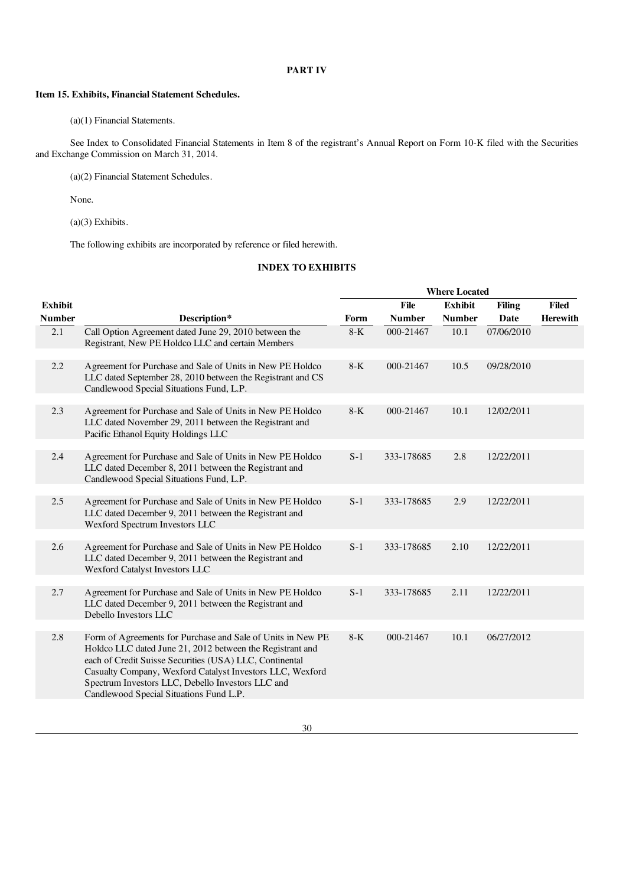# PART IV

# Item 15. Exhibits, Financial Statement Schedules.

(a)(1) Financial Statements.

See Index to Consolidated Financial Statements in Item 8 of the registrant's Annual Report on Form 10-K filed with the Securities and Exchange Commission on March 31, 2014.

(a)(2) Financial Statement Schedules.

None.

(a)(3) Exhibits.

The following exhibits are incorporated by reference or filed herewith.

# INDEX TO EXHIBITS

|                                 |                                                                                                                                                                                                                                                                                                                                                  | <b>Where Located</b> |                              |                                 |                       |                                 |
|---------------------------------|--------------------------------------------------------------------------------------------------------------------------------------------------------------------------------------------------------------------------------------------------------------------------------------------------------------------------------------------------|----------------------|------------------------------|---------------------------------|-----------------------|---------------------------------|
| <b>Exhibit</b><br><b>Number</b> | Description*                                                                                                                                                                                                                                                                                                                                     | Form                 | <b>File</b><br><b>Number</b> | <b>Exhibit</b><br><b>Number</b> | <b>Filing</b><br>Date | <b>Filed</b><br><b>Herewith</b> |
| 2.1                             | Call Option Agreement dated June 29, 2010 between the<br>Registrant, New PE Holdco LLC and certain Members                                                                                                                                                                                                                                       | $8-K$                | 000-21467                    | 10.1                            | 07/06/2010            |                                 |
| 2.2                             | Agreement for Purchase and Sale of Units in New PE Holdco<br>LLC dated September 28, 2010 between the Registrant and CS<br>Candlewood Special Situations Fund, L.P.                                                                                                                                                                              | $8-K$                | 000-21467                    | 10.5                            | 09/28/2010            |                                 |
| 2.3                             | Agreement for Purchase and Sale of Units in New PE Holdco<br>LLC dated November 29, 2011 between the Registrant and<br>Pacific Ethanol Equity Holdings LLC                                                                                                                                                                                       | $8-K$                | 000-21467                    | 10.1                            | 12/02/2011            |                                 |
| 2.4                             | Agreement for Purchase and Sale of Units in New PE Holdco<br>LLC dated December 8, 2011 between the Registrant and<br>Candlewood Special Situations Fund, L.P.                                                                                                                                                                                   | $S-1$                | 333-178685                   | 2.8                             | 12/22/2011            |                                 |
| 2.5                             | Agreement for Purchase and Sale of Units in New PE Holdco<br>LLC dated December 9, 2011 between the Registrant and<br>Wexford Spectrum Investors LLC                                                                                                                                                                                             | $S-1$                | 333-178685                   | 2.9                             | 12/22/2011            |                                 |
| 2.6                             | Agreement for Purchase and Sale of Units in New PE Holdco<br>LLC dated December 9, 2011 between the Registrant and<br>Wexford Catalyst Investors LLC                                                                                                                                                                                             | $S-1$                | 333-178685                   | 2.10                            | 12/22/2011            |                                 |
| 2.7                             | Agreement for Purchase and Sale of Units in New PE Holdco<br>LLC dated December 9, 2011 between the Registrant and<br>Debello Investors LLC                                                                                                                                                                                                      | $S-1$                | 333-178685                   | 2.11                            | 12/22/2011            |                                 |
| 2.8                             | Form of Agreements for Purchase and Sale of Units in New PE<br>Holdco LLC dated June 21, 2012 between the Registrant and<br>each of Credit Suisse Securities (USA) LLC, Continental<br>Casualty Company, Wexford Catalyst Investors LLC, Wexford<br>Spectrum Investors LLC, Debello Investors LLC and<br>Candlewood Special Situations Fund L.P. | $8-K$                | 000-21467                    | 10.1                            | 06/27/2012            |                                 |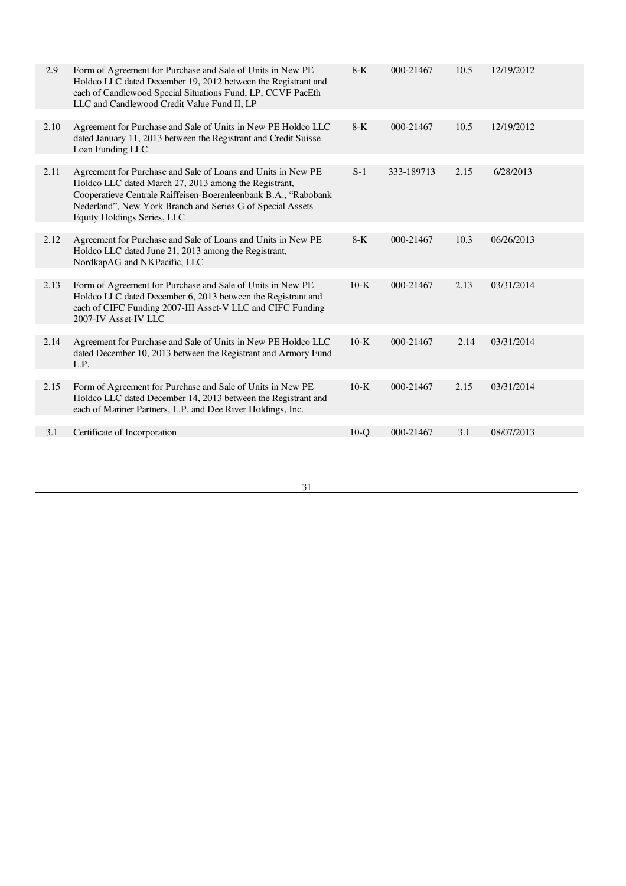| 2.9  | Form of Agreement for Purchase and Sale of Units in New PE<br>Holdco LLC dated December 19, 2012 between the Registrant and<br>each of Candlewood Special Situations Fund, LP, CCVF PacEth<br>LLC and Candlewood Credit Value Fund II, LP                                             | $8-K$  | 000-21467  | 10.5 | 12/19/2012 |
|------|---------------------------------------------------------------------------------------------------------------------------------------------------------------------------------------------------------------------------------------------------------------------------------------|--------|------------|------|------------|
| 2.10 | Agreement for Purchase and Sale of Units in New PE Holdco LLC<br>dated January 11, 2013 between the Registrant and Credit Suisse<br>Loan Funding LLC                                                                                                                                  | $8-K$  | 000-21467  | 10.5 | 12/19/2012 |
| 2.11 | Agreement for Purchase and Sale of Loans and Units in New PE<br>Holdco LLC dated March 27, 2013 among the Registrant,<br>Cooperatieve Centrale Raiffeisen-Boerenleenbank B.A., "Rabobank<br>Nederland", New York Branch and Series G of Special Assets<br>Equity Holdings Series, LLC | $S-1$  | 333-189713 | 2.15 | 6/28/2013  |
| 2.12 | Agreement for Purchase and Sale of Loans and Units in New PE<br>Holdco LLC dated June 21, 2013 among the Registrant,<br>NordkapAG and NKPacific, LLC                                                                                                                                  | $8-K$  | 000-21467  | 10.3 | 06/26/2013 |
| 2.13 | Form of Agreement for Purchase and Sale of Units in New PE<br>Holdco LLC dated December 6, 2013 between the Registrant and<br>each of CIFC Funding 2007-III Asset-V LLC and CIFC Funding<br>2007-IV Asset-IV LLC                                                                      | $10-K$ | 000-21467  | 2.13 | 03/31/2014 |
| 2.14 | Agreement for Purchase and Sale of Units in New PE Holdco LLC<br>dated December 10, 2013 between the Registrant and Armory Fund<br>L.P.                                                                                                                                               | $10-K$ | 000-21467  | 2.14 | 03/31/2014 |
| 2.15 | Form of Agreement for Purchase and Sale of Units in New PE<br>Holdco LLC dated December 14, 2013 between the Registrant and<br>each of Mariner Partners, L.P. and Dee River Holdings, Inc.                                                                                            | $10-K$ | 000-21467  | 2.15 | 03/31/2014 |
| 3.1  | Certificate of Incorporation                                                                                                                                                                                                                                                          | $10-o$ | 000-21467  | 3.1  | 08/07/2013 |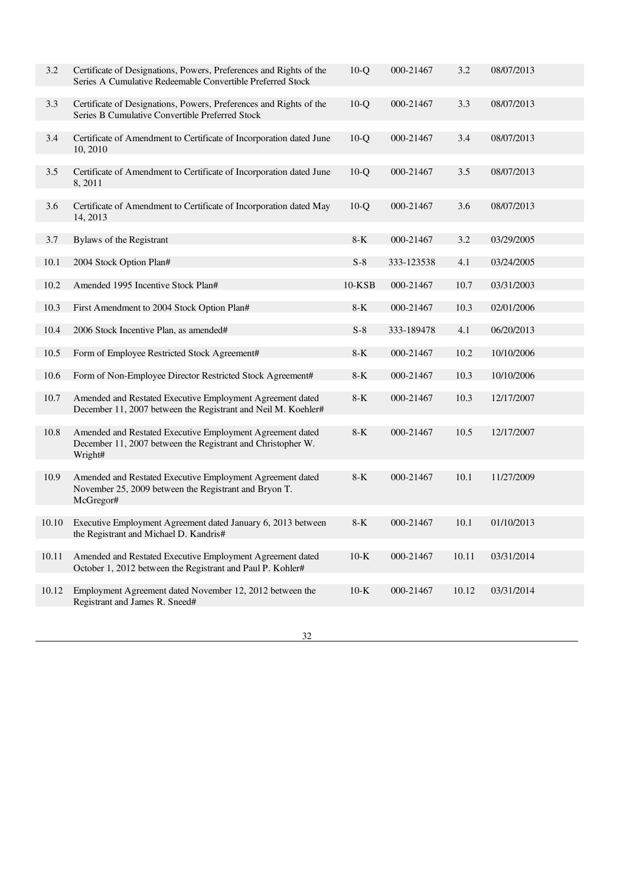| 3.2   | Certificate of Designations, Powers, Preferences and Rights of the<br>Series A Cumulative Redeemable Convertible Preferred Stock    | $10-Q$    | 000-21467  | 3.2   | 08/07/2013 |  |
|-------|-------------------------------------------------------------------------------------------------------------------------------------|-----------|------------|-------|------------|--|
| 3.3   | Certificate of Designations, Powers, Preferences and Rights of the<br>Series B Cumulative Convertible Preferred Stock               | $10-Q$    | 000-21467  | 3.3   | 08/07/2013 |  |
| 3.4   | Certificate of Amendment to Certificate of Incorporation dated June<br>10, 2010                                                     | $10-Q$    | 000-21467  | 3.4   | 08/07/2013 |  |
| 3.5   | Certificate of Amendment to Certificate of Incorporation dated June<br>8, 2011                                                      | $10-Q$    | 000-21467  | 3.5   | 08/07/2013 |  |
| 3.6   | Certificate of Amendment to Certificate of Incorporation dated May<br>14, 2013                                                      | $10-Q$    | 000-21467  | 3.6   | 08/07/2013 |  |
| 3.7   | Bylaws of the Registrant                                                                                                            | $8-K$     | 000-21467  | 3.2   | 03/29/2005 |  |
| 10.1  | 2004 Stock Option Plan#                                                                                                             | $S-8$     | 333-123538 | 4.1   | 03/24/2005 |  |
| 10.2  | Amended 1995 Incentive Stock Plan#                                                                                                  | $10$ -KSB | 000-21467  | 10.7  | 03/31/2003 |  |
| 10.3  | First Amendment to 2004 Stock Option Plan#                                                                                          | $8-K$     | 000-21467  | 10.3  | 02/01/2006 |  |
| 10.4  | 2006 Stock Incentive Plan, as amended#                                                                                              | $S-8$     | 333-189478 | 4.1   | 06/20/2013 |  |
| 10.5  | Form of Employee Restricted Stock Agreement#                                                                                        | $8-K$     | 000-21467  | 10.2  | 10/10/2006 |  |
| 10.6  | Form of Non-Employee Director Restricted Stock Agreement#                                                                           | $8-K$     | 000-21467  | 10.3  | 10/10/2006 |  |
| 10.7  | Amended and Restated Executive Employment Agreement dated<br>December 11, 2007 between the Registrant and Neil M. Koehler#          | $8-K$     | 000-21467  | 10.3  | 12/17/2007 |  |
| 10.8  | Amended and Restated Executive Employment Agreement dated<br>December 11, 2007 between the Registrant and Christopher W.<br>Wright# | $8-K$     | 000-21467  | 10.5  | 12/17/2007 |  |
| 10.9  | Amended and Restated Executive Employment Agreement dated<br>November 25, 2009 between the Registrant and Bryon T.<br>McGregor#     | $8-K$     | 000-21467  | 10.1  | 11/27/2009 |  |
| 10.10 | Executive Employment Agreement dated January 6, 2013 between<br>the Registrant and Michael D. Kandris#                              | $8-K$     | 000-21467  | 10.1  | 01/10/2013 |  |
| 10.11 | Amended and Restated Executive Employment Agreement dated<br>October 1, 2012 between the Registrant and Paul P. Kohler#             | $10-K$    | 000-21467  | 10.11 | 03/31/2014 |  |
| 10.12 | Employment Agreement dated November 12, 2012 between the<br>Registrant and James R. Sneed#                                          | $10-K$    | 000-21467  | 10.12 | 03/31/2014 |  |
|       |                                                                                                                                     |           |            |       |            |  |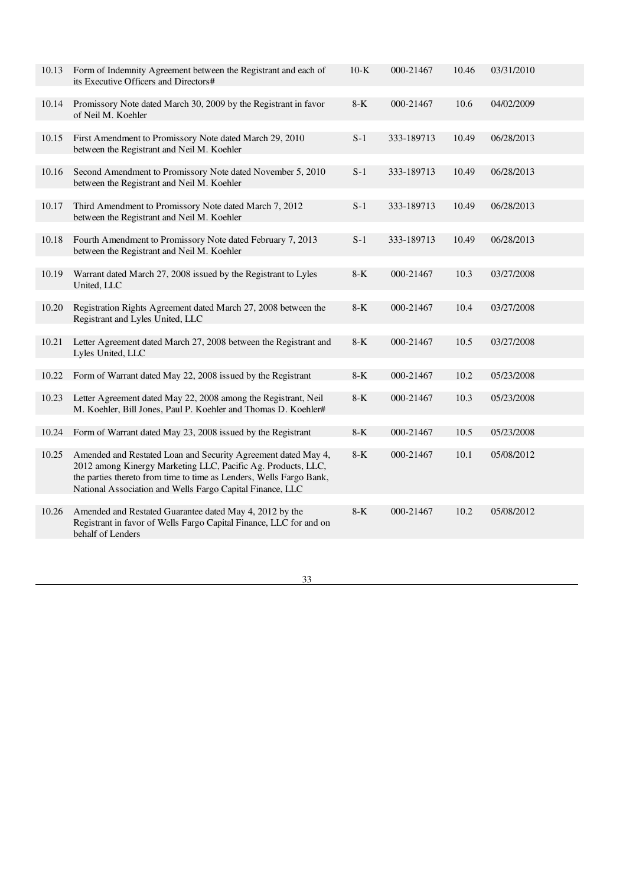| Form of Indemnity Agreement between the Registrant and each of<br>its Executive Officers and Directors#                                                                                                                                                           | $10-K$  | 000-21467  | 10.46 | 03/31/2010 |
|-------------------------------------------------------------------------------------------------------------------------------------------------------------------------------------------------------------------------------------------------------------------|---------|------------|-------|------------|
| Promissory Note dated March 30, 2009 by the Registrant in favor<br>of Neil M. Koehler                                                                                                                                                                             | $8-K$   | 000-21467  | 10.6  | 04/02/2009 |
| First Amendment to Promissory Note dated March 29, 2010<br>between the Registrant and Neil M. Koehler                                                                                                                                                             | $S-1$   | 333-189713 | 10.49 | 06/28/2013 |
| Second Amendment to Promissory Note dated November 5, 2010<br>between the Registrant and Neil M. Koehler                                                                                                                                                          | $S-1$   | 333-189713 | 10.49 | 06/28/2013 |
| Third Amendment to Promissory Note dated March 7, 2012<br>between the Registrant and Neil M. Koehler                                                                                                                                                              | $S-1$   | 333-189713 | 10.49 | 06/28/2013 |
| Fourth Amendment to Promissory Note dated February 7, 2013<br>between the Registrant and Neil M. Koehler                                                                                                                                                          | $S-1$   | 333-189713 | 10.49 | 06/28/2013 |
| Warrant dated March 27, 2008 issued by the Registrant to Lyles<br>United, LLC                                                                                                                                                                                     | $8-K$   | 000-21467  | 10.3  | 03/27/2008 |
| Registration Rights Agreement dated March 27, 2008 between the<br>Registrant and Lyles United, LLC                                                                                                                                                                | $8-K$   | 000-21467  | 10.4  | 03/27/2008 |
| Letter Agreement dated March 27, 2008 between the Registrant and<br>Lyles United, LLC                                                                                                                                                                             | $8-K$   | 000-21467  | 10.5  | 03/27/2008 |
| Form of Warrant dated May 22, 2008 issued by the Registrant                                                                                                                                                                                                       | $8-K$   | 000-21467  | 10.2  | 05/23/2008 |
| Letter Agreement dated May 22, 2008 among the Registrant, Neil<br>M. Koehler, Bill Jones, Paul P. Koehler and Thomas D. Koehler#                                                                                                                                  | $8-K$   | 000-21467  | 10.3  | 05/23/2008 |
| Form of Warrant dated May 23, 2008 issued by the Registrant                                                                                                                                                                                                       | $8 - K$ | 000-21467  | 10.5  | 05/23/2008 |
| Amended and Restated Loan and Security Agreement dated May 4,<br>2012 among Kinergy Marketing LLC, Pacific Ag. Products, LLC,<br>the parties thereto from time to time as Lenders, Wells Fargo Bank,<br>National Association and Wells Fargo Capital Finance, LLC | $8-K$   | 000-21467  | 10.1  | 05/08/2012 |
| Amended and Restated Guarantee dated May 4, 2012 by the<br>Registrant in favor of Wells Fargo Capital Finance, LLC for and on<br>behalf of Lenders                                                                                                                | $8-K$   | 000-21467  | 10.2  | 05/08/2012 |
| 10.13<br>10.14<br>10.16<br>10.20<br>10.24                                                                                                                                                                                                                         |         |            |       |            |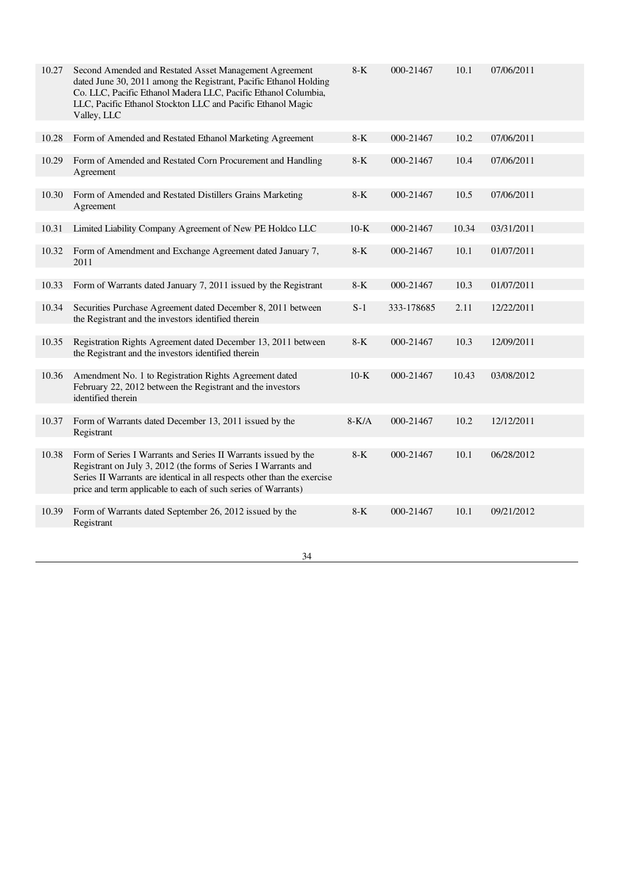| 10.27 | Second Amended and Restated Asset Management Agreement<br>dated June 30, 2011 among the Registrant, Pacific Ethanol Holding<br>Co. LLC, Pacific Ethanol Madera LLC, Pacific Ethanol Columbia,<br>LLC, Pacific Ethanol Stockton LLC and Pacific Ethanol Magic<br>Valley, LLC   | $8-K$   | 000-21467  | 10.1  | 07/06/2011 |
|-------|-------------------------------------------------------------------------------------------------------------------------------------------------------------------------------------------------------------------------------------------------------------------------------|---------|------------|-------|------------|
| 10.28 | Form of Amended and Restated Ethanol Marketing Agreement                                                                                                                                                                                                                      | $8-K$   | 000-21467  | 10.2  | 07/06/2011 |
| 10.29 | Form of Amended and Restated Corn Procurement and Handling<br>Agreement                                                                                                                                                                                                       | $8-K$   | 000-21467  | 10.4  | 07/06/2011 |
| 10.30 | Form of Amended and Restated Distillers Grains Marketing<br>Agreement                                                                                                                                                                                                         | $8-K$   | 000-21467  | 10.5  | 07/06/2011 |
| 10.31 | Limited Liability Company Agreement of New PE Holdco LLC                                                                                                                                                                                                                      | $10-K$  | 000-21467  | 10.34 | 03/31/2011 |
| 10.32 | Form of Amendment and Exchange Agreement dated January 7,<br>2011                                                                                                                                                                                                             | $8-K$   | 000-21467  | 10.1  | 01/07/2011 |
| 10.33 | Form of Warrants dated January 7, 2011 issued by the Registrant                                                                                                                                                                                                               | $8-K$   | 000-21467  | 10.3  | 01/07/2011 |
|       |                                                                                                                                                                                                                                                                               |         |            |       |            |
| 10.34 | Securities Purchase Agreement dated December 8, 2011 between<br>the Registrant and the investors identified therein                                                                                                                                                           | $S-1$   | 333-178685 | 2.11  | 12/22/2011 |
| 10.35 | Registration Rights Agreement dated December 13, 2011 between<br>the Registrant and the investors identified therein                                                                                                                                                          | $8-K$   | 000-21467  | 10.3  | 12/09/2011 |
| 10.36 | Amendment No. 1 to Registration Rights Agreement dated<br>February 22, 2012 between the Registrant and the investors<br>identified therein                                                                                                                                    | $10-K$  | 000-21467  | 10.43 | 03/08/2012 |
|       |                                                                                                                                                                                                                                                                               |         |            |       |            |
| 10.37 | Form of Warrants dated December 13, 2011 issued by the<br>Registrant                                                                                                                                                                                                          | $8-K/A$ | 000-21467  | 10.2  | 12/12/2011 |
| 10.38 | Form of Series I Warrants and Series II Warrants issued by the<br>Registrant on July 3, 2012 (the forms of Series I Warrants and<br>Series II Warrants are identical in all respects other than the exercise<br>price and term applicable to each of such series of Warrants) | $8-K$   | 000-21467  | 10.1  | 06/28/2012 |
| 10.39 | Form of Warrants dated September 26, 2012 issued by the                                                                                                                                                                                                                       | $8-K$   | 000-21467  | 10.1  | 09/21/2012 |
|       | Registrant                                                                                                                                                                                                                                                                    |         |            |       |            |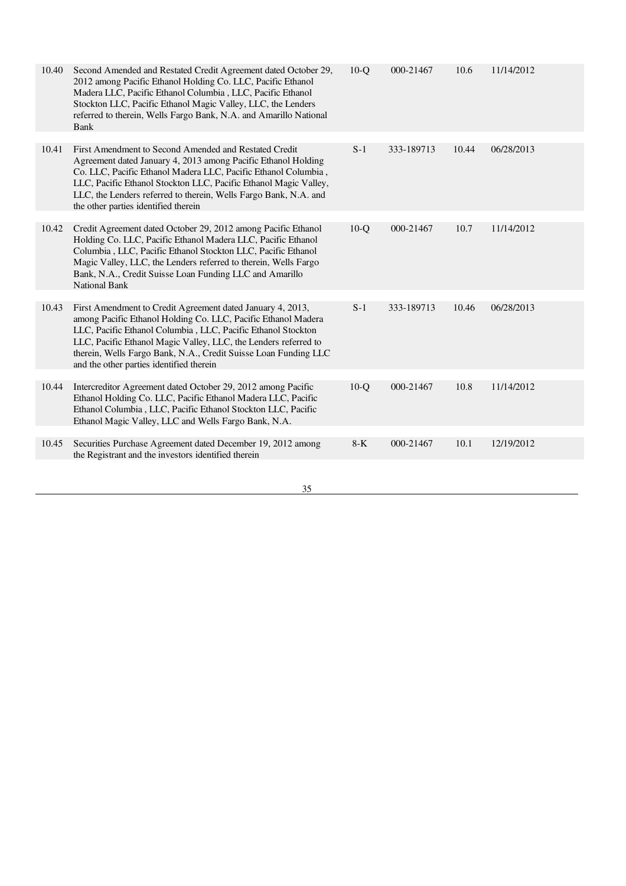| 10.40 | Second Amended and Restated Credit Agreement dated October 29,<br>2012 among Pacific Ethanol Holding Co. LLC, Pacific Ethanol<br>Madera LLC, Pacific Ethanol Columbia, LLC, Pacific Ethanol<br>Stockton LLC, Pacific Ethanol Magic Valley, LLC, the Lenders<br>referred to therein, Wells Fargo Bank, N.A. and Amarillo National<br>Bank                                      | $10-Q$ | 000-21467  | 10.6  | 11/14/2012 |
|-------|-------------------------------------------------------------------------------------------------------------------------------------------------------------------------------------------------------------------------------------------------------------------------------------------------------------------------------------------------------------------------------|--------|------------|-------|------------|
|       |                                                                                                                                                                                                                                                                                                                                                                               |        |            |       |            |
| 10.41 | First Amendment to Second Amended and Restated Credit<br>Agreement dated January 4, 2013 among Pacific Ethanol Holding<br>Co. LLC, Pacific Ethanol Madera LLC, Pacific Ethanol Columbia,<br>LLC, Pacific Ethanol Stockton LLC, Pacific Ethanol Magic Valley,<br>LLC, the Lenders referred to therein, Wells Fargo Bank, N.A. and<br>the other parties identified therein      | $S-1$  | 333-189713 | 10.44 | 06/28/2013 |
|       |                                                                                                                                                                                                                                                                                                                                                                               |        |            |       |            |
| 10.42 | Credit Agreement dated October 29, 2012 among Pacific Ethanol<br>Holding Co. LLC, Pacific Ethanol Madera LLC, Pacific Ethanol<br>Columbia, LLC, Pacific Ethanol Stockton LLC, Pacific Ethanol<br>Magic Valley, LLC, the Lenders referred to therein, Wells Fargo<br>Bank, N.A., Credit Suisse Loan Funding LLC and Amarillo<br><b>National Bank</b>                           | $10-Q$ | 000-21467  | 10.7  | 11/14/2012 |
|       |                                                                                                                                                                                                                                                                                                                                                                               |        |            |       |            |
| 10.43 | First Amendment to Credit Agreement dated January 4, 2013,<br>among Pacific Ethanol Holding Co. LLC, Pacific Ethanol Madera<br>LLC, Pacific Ethanol Columbia, LLC, Pacific Ethanol Stockton<br>LLC, Pacific Ethanol Magic Valley, LLC, the Lenders referred to<br>therein, Wells Fargo Bank, N.A., Credit Suisse Loan Funding LLC<br>and the other parties identified therein | $S-1$  | 333-189713 | 10.46 | 06/28/2013 |
|       |                                                                                                                                                                                                                                                                                                                                                                               |        |            |       |            |
| 10.44 | Intercreditor Agreement dated October 29, 2012 among Pacific<br>Ethanol Holding Co. LLC, Pacific Ethanol Madera LLC, Pacific<br>Ethanol Columbia, LLC, Pacific Ethanol Stockton LLC, Pacific<br>Ethanol Magic Valley, LLC and Wells Fargo Bank, N.A.                                                                                                                          | $10-Q$ | 000-21467  | 10.8  | 11/14/2012 |
|       |                                                                                                                                                                                                                                                                                                                                                                               |        |            |       |            |
| 10.45 | Securities Purchase Agreement dated December 19, 2012 among<br>the Registrant and the investors identified therein                                                                                                                                                                                                                                                            | $8-K$  | 000-21467  | 10.1  | 12/19/2012 |
|       |                                                                                                                                                                                                                                                                                                                                                                               |        |            |       |            |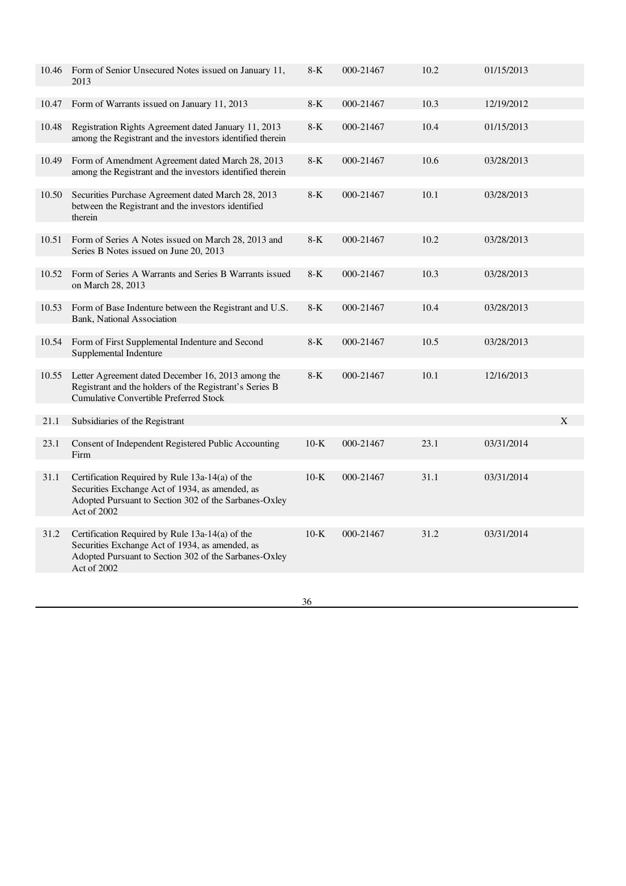| 10.46 | Form of Senior Unsecured Notes issued on January 11,<br>2013                                                                                                               | $8-K$  | 000-21467 | 10.2 | 01/15/2013 |   |
|-------|----------------------------------------------------------------------------------------------------------------------------------------------------------------------------|--------|-----------|------|------------|---|
| 10.47 | Form of Warrants issued on January 11, 2013                                                                                                                                | $8-K$  | 000-21467 | 10.3 | 12/19/2012 |   |
| 10.48 | Registration Rights Agreement dated January 11, 2013<br>among the Registrant and the investors identified therein                                                          | $8-K$  | 000-21467 | 10.4 | 01/15/2013 |   |
| 10.49 | Form of Amendment Agreement dated March 28, 2013<br>among the Registrant and the investors identified therein                                                              | $8-K$  | 000-21467 | 10.6 | 03/28/2013 |   |
| 10.50 | Securities Purchase Agreement dated March 28, 2013<br>between the Registrant and the investors identified<br>therein                                                       | $8-K$  | 000-21467 | 10.1 | 03/28/2013 |   |
| 10.51 | Form of Series A Notes issued on March 28, 2013 and<br>Series B Notes issued on June 20, 2013                                                                              | $8-K$  | 000-21467 | 10.2 | 03/28/2013 |   |
| 10.52 | Form of Series A Warrants and Series B Warrants issued<br>on March 28, 2013                                                                                                | $8-K$  | 000-21467 | 10.3 | 03/28/2013 |   |
| 10.53 | Form of Base Indenture between the Registrant and U.S.<br>Bank, National Association                                                                                       | $8-K$  | 000-21467 | 10.4 | 03/28/2013 |   |
| 10.54 | Form of First Supplemental Indenture and Second<br>Supplemental Indenture                                                                                                  | $8-K$  | 000-21467 | 10.5 | 03/28/2013 |   |
| 10.55 | Letter Agreement dated December 16, 2013 among the<br>Registrant and the holders of the Registrant's Series B<br><b>Cumulative Convertible Preferred Stock</b>             | $8-K$  | 000-21467 | 10.1 | 12/16/2013 |   |
| 21.1  | Subsidiaries of the Registrant                                                                                                                                             |        |           |      |            | X |
| 23.1  | Consent of Independent Registered Public Accounting<br>Firm                                                                                                                | $10-K$ | 000-21467 | 23.1 | 03/31/2014 |   |
| 31.1  | Certification Required by Rule 13a-14(a) of the<br>Securities Exchange Act of 1934, as amended, as<br>Adopted Pursuant to Section 302 of the Sarbanes-Oxley<br>Act of 2002 | $10-K$ | 000-21467 | 31.1 | 03/31/2014 |   |
| 31.2  | Certification Required by Rule 13a-14(a) of the                                                                                                                            | $10-K$ | 000-21467 | 31.2 | 03/31/2014 |   |
|       | Securities Exchange Act of 1934, as amended, as<br>Adopted Pursuant to Section 302 of the Sarbanes-Oxley<br>Act of 2002                                                    |        |           |      |            |   |
|       |                                                                                                                                                                            |        |           |      |            |   |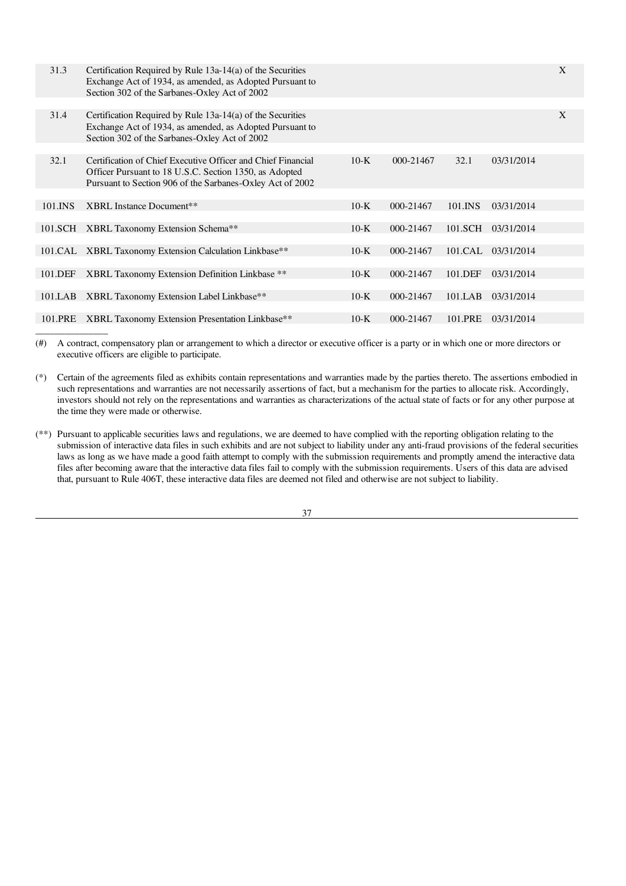| 31.3    | Certification Required by Rule 13a-14(a) of the Securities<br>Exchange Act of 1934, as amended, as Adopted Pursuant to<br>Section 302 of the Sarbanes-Oxley Act of 2002             |        |           |         |            | X |
|---------|-------------------------------------------------------------------------------------------------------------------------------------------------------------------------------------|--------|-----------|---------|------------|---|
|         |                                                                                                                                                                                     |        |           |         |            |   |
| 31.4    | Certification Required by Rule 13a-14(a) of the Securities<br>Exchange Act of 1934, as amended, as Adopted Pursuant to<br>Section 302 of the Sarbanes-Oxley Act of 2002             |        |           |         |            | X |
|         |                                                                                                                                                                                     |        |           |         |            |   |
| 32.1    | Certification of Chief Executive Officer and Chief Financial<br>Officer Pursuant to 18 U.S.C. Section 1350, as Adopted<br>Pursuant to Section 906 of the Sarbanes-Oxley Act of 2002 | $10-K$ | 000-21467 | 32.1    | 03/31/2014 |   |
|         |                                                                                                                                                                                     |        |           |         |            |   |
| 101.INS | <b>XBRL Instance Document**</b>                                                                                                                                                     | $10-K$ | 000-21467 | 101.INS | 03/31/2014 |   |
| 101.SCH | XBRL Taxonomy Extension Schema**                                                                                                                                                    | $10-K$ | 000-21467 | 101.SCH | 03/31/2014 |   |
| 101.CAL | XBRL Taxonomy Extension Calculation Linkbase**                                                                                                                                      | $10-K$ | 000-21467 | 101.CAL | 03/31/2014 |   |
| 101.DEF | XBRL Taxonomy Extension Definition Linkbase **                                                                                                                                      | $10-K$ | 000-21467 | 101.DEF | 03/31/2014 |   |
| 101.LAB | XBRL Taxonomy Extension Label Linkbase**                                                                                                                                            | $10-K$ | 000-21467 | 101.LAB | 03/31/2014 |   |
| 101.PRE | XBRL Taxonomy Extension Presentation Linkbase**                                                                                                                                     | $10-K$ | 000-21467 | 101.PRE | 03/31/2014 |   |
|         |                                                                                                                                                                                     |        |           |         |            |   |

(#) A contract, compensatory plan or arrangement to which a director or executive officer is a party or in which one or more directors or executive officers are eligible to participate.

(\*) Certain of the agreements filed as exhibits contain representations and warranties made by the parties thereto. The assertions embodied in such representations and warranties are not necessarily assertions of fact, but a mechanism for the parties to allocate risk. Accordingly, investors should not rely on the representations and warranties as characterizations of the actual state of facts or for any other purpose at the time they were made or otherwise.

(\*\*) Pursuant to applicable securities laws and regulations, we are deemed to have complied with the reporting obligation relating to the submission of interactive data files in such exhibits and are not subject to liability under any anti-fraud provisions of the federal securities laws as long as we have made a good faith attempt to comply with the submission requirements and promptly amend the interactive data files after becoming aware that the interactive data files fail to comply with the submission requirements. Users of this data are advised that, pursuant to Rule 406T, these interactive data files are deemed not filed and otherwise are not subject to liability.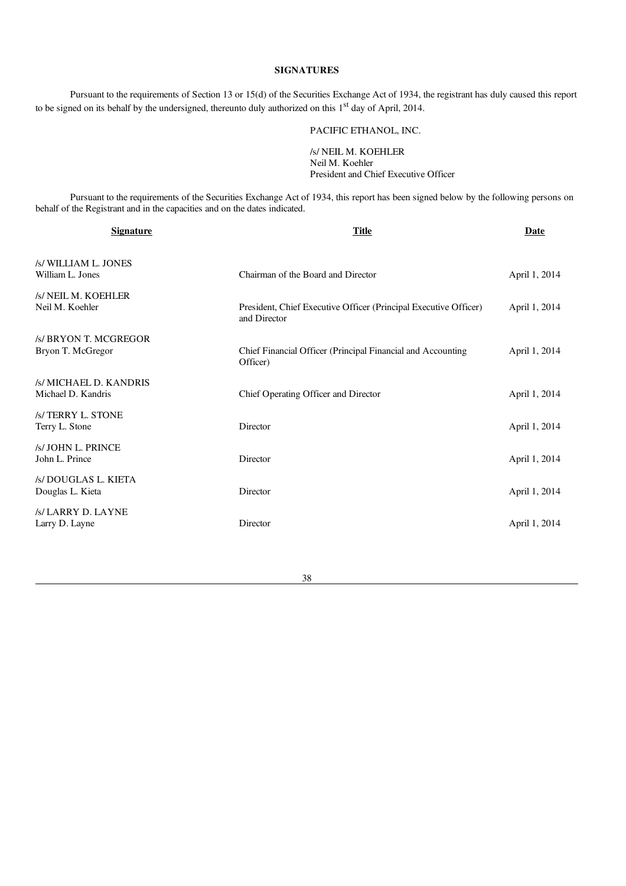# SIGNATURES

Pursuant to the requirements of Section 13 or 15(d) of the Securities Exchange Act of 1934, the registrant has duly caused this report to be signed on its behalf by the undersigned, thereunto duly authorized on this  $1<sup>st</sup>$  day of April, 2014.

# PACIFIC ETHANOL, INC.

/s/ NEIL M. KOEHLER Neil M. Koehler President and Chief Executive Officer

Pursuant to the requirements of the Securities Exchange Act of 1934, this report has been signed below by the following persons on behalf of the Registrant and in the capacities and on the dates indicated.

| <b>Title</b>                                                                     | <b>Date</b>   |
|----------------------------------------------------------------------------------|---------------|
| Chairman of the Board and Director                                               | April 1, 2014 |
| President, Chief Executive Officer (Principal Executive Officer)<br>and Director | April 1, 2014 |
| Chief Financial Officer (Principal Financial and Accounting)<br>Officer)         | April 1, 2014 |
| Chief Operating Officer and Director                                             | April 1, 2014 |
| Director                                                                         | April 1, 2014 |
| Director                                                                         | April 1, 2014 |
| Director                                                                         | April 1, 2014 |
| Director                                                                         | April 1, 2014 |
|                                                                                  |               |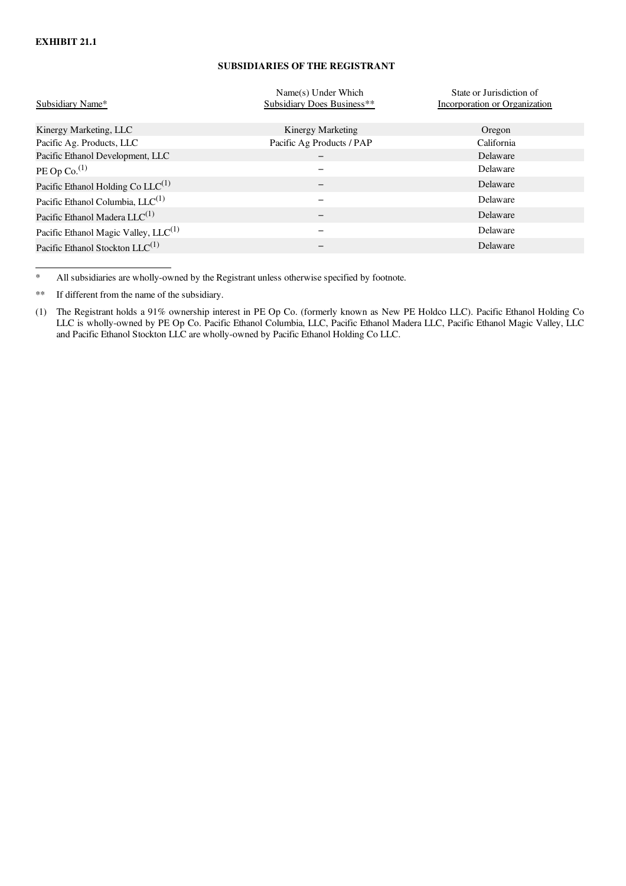# EXHIBIT 21.1

# SUBSIDIARIES OF THE REGISTRANT

| Subsidiary Name*                          | Name(s) Under Which<br>Subsidiary Does Business** | State or Jurisdiction of<br>Incorporation or Organization |
|-------------------------------------------|---------------------------------------------------|-----------------------------------------------------------|
| Kinergy Marketing, LLC                    | Kinergy Marketing                                 | Oregon                                                    |
| Pacific Ag. Products, LLC                 | Pacific Ag Products / PAP                         | California                                                |
| Pacific Ethanol Development, LLC          | $\qquad \qquad \blacksquare$                      | Delaware                                                  |
| PE Op Co. $^{(1)}$                        |                                                   | Delaware                                                  |
| Pacific Ethanol Holding Co $LLC^{(1)}$    |                                                   | Delaware                                                  |
| Pacific Ethanol Columbia, $LLC^{(1)}$     |                                                   | Delaware                                                  |
| Pacific Ethanol Madera LLC <sup>(1)</sup> | —                                                 | Delaware                                                  |
| Pacific Ethanol Magic Valley, $LLC^{(1)}$ | -                                                 | Delaware                                                  |
| Pacific Ethanol Stockton $LLC^{(1)}$      |                                                   | Delaware                                                  |

\* All subsidiaries are wholly-owned by the Registrant unless otherwise specified by footnote.

\*\* If different from the name of the subsidiary.

(1) The Registrant holds a 91% ownership interest in PE Op Co. (formerly known as New PE Holdco LLC). Pacific Ethanol Holding Co LLC is wholly-owned by PE Op Co. Pacific Ethanol Columbia, LLC, Pacific Ethanol Madera LLC, Pacific Ethanol Magic Valley, LLC and Pacific Ethanol Stockton LLC are wholly-owned by Pacific Ethanol Holding Co LLC.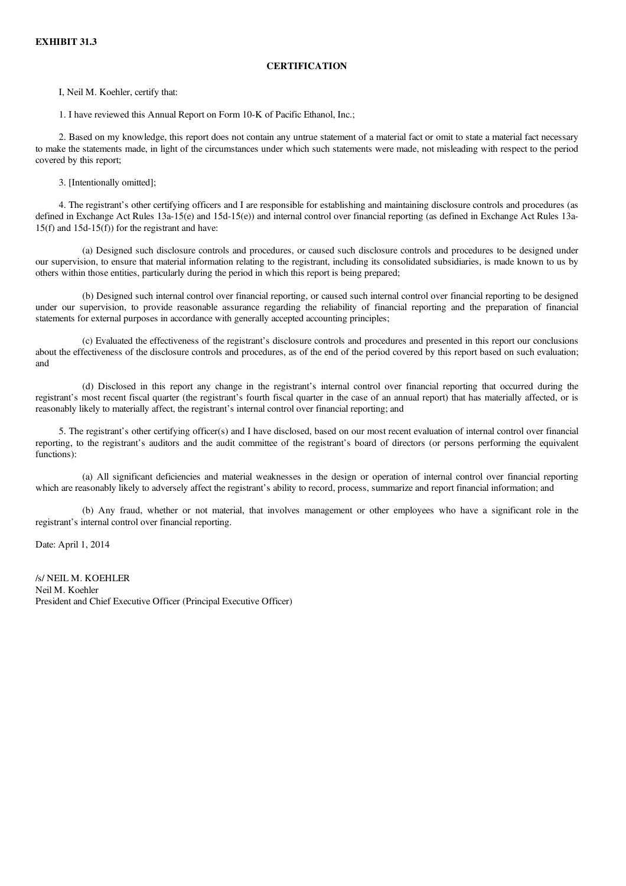# **CERTIFICATION**

I, Neil M. Koehler, certify that:

1. I have reviewed this Annual Report on Form 10-K of Pacific Ethanol, Inc.;

2. Based on my knowledge, this report does not contain any untrue statement of a material fact or omit to state a material fact necessary to make the statements made, in light of the circumstances under which such statements were made, not misleading with respect to the period covered by this report;

3. [Intentionally omitted];

4. The registrant's other certifying officers and I are responsible for establishing and maintaining disclosure controls and procedures (as defined in Exchange Act Rules 13a-15(e) and 15d-15(e)) and internal control over financial reporting (as defined in Exchange Act Rules 13a-15(f) and 15d-15(f)) for the registrant and have:

(a) Designed such disclosure controls and procedures, or caused such disclosure controls and procedures to be designed under our supervision, to ensure that material information relating to the registrant, including its consolidated subsidiaries, is made known to us by others within those entities, particularly during the period in which this report is being prepared;

(b) Designed such internal control over financial reporting, or caused such internal control over financial reporting to be designed under our supervision, to provide reasonable assurance regarding the reliability of financial reporting and the preparation of financial statements for external purposes in accordance with generally accepted accounting principles;

(c) Evaluated the effectiveness of the registrant's disclosure controls and procedures and presented in this report our conclusions about the effectiveness of the disclosure controls and procedures, as of the end of the period covered by this report based on such evaluation; and

(d) Disclosed in this report any change in the registrant's internal control over financial reporting that occurred during the registrant's most recent fiscal quarter (the registrant's fourth fiscal quarter in the case of an annual report) that has materially affected, or is reasonably likely to materially affect, the registrant's internal control over financial reporting; and

5. The registrant's other certifying officer(s) and I have disclosed, based on our most recent evaluation of internal control over financial reporting, to the registrant's auditors and the audit committee of the registrant's board of directors (or persons performing the equivalent functions):

(a) All significant deficiencies and material weaknesses in the design or operation of internal control over financial reporting which are reasonably likely to adversely affect the registrant's ability to record, process, summarize and report financial information; and

(b) Any fraud, whether or not material, that involves management or other employees who have a significant role in the registrant's internal control over financial reporting.

Date: April 1, 2014

/s/ NEIL M. KOEHLER Neil M. Koehler President and Chief Executive Officer (Principal Executive Officer)